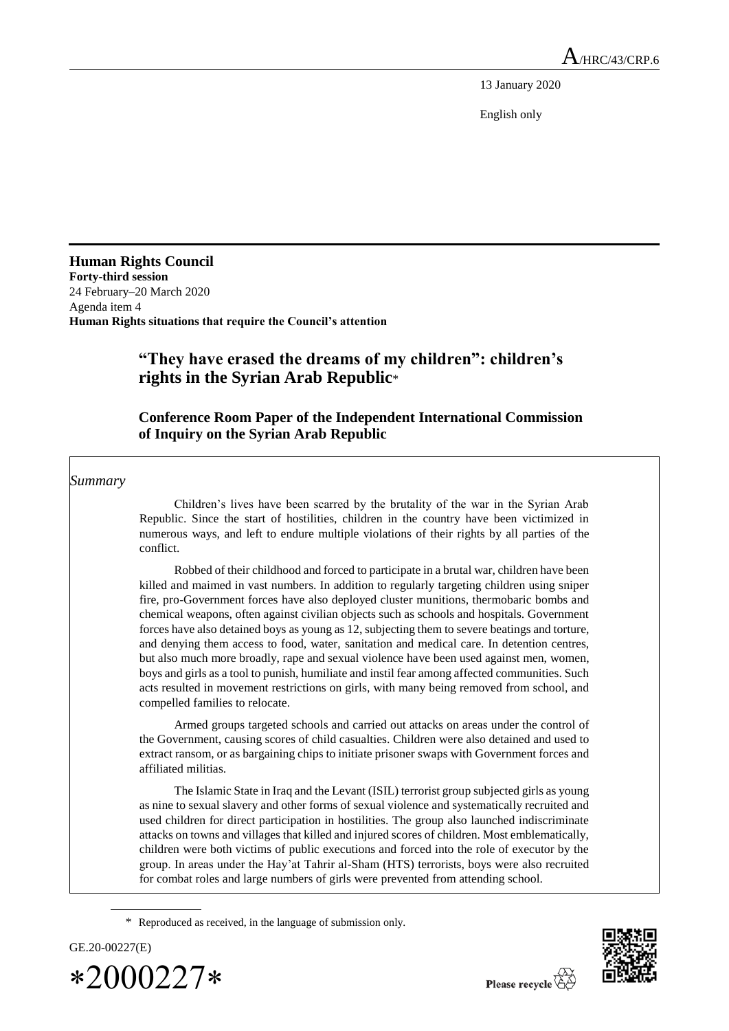13 January 2020

English only

**Human Rights Council Forty-third session** 24 February–20 March 2020 Agenda item 4 **Human Rights situations that require the Council's attention**

# **"They have erased the dreams of my children": children's rights in the Syrian Arab Republic**\*

# **Conference Room Paper of the Independent International Commission of Inquiry on the Syrian Arab Republic**

*Summary*

Children's lives have been scarred by the brutality of the war in the Syrian Arab Republic. Since the start of hostilities, children in the country have been victimized in numerous ways, and left to endure multiple violations of their rights by all parties of the conflict.

Robbed of their childhood and forced to participate in a brutal war, children have been killed and maimed in vast numbers. In addition to regularly targeting children using sniper fire, pro-Government forces have also deployed cluster munitions, thermobaric bombs and chemical weapons, often against civilian objects such as schools and hospitals. Government forces have also detained boys as young as 12, subjecting them to severe beatings and torture, and denying them access to food, water, sanitation and medical care. In detention centres, but also much more broadly, rape and sexual violence have been used against men, women, boys and girls as a tool to punish, humiliate and instil fear among affected communities. Such acts resulted in movement restrictions on girls, with many being removed from school, and compelled families to relocate.

Armed groups targeted schools and carried out attacks on areas under the control of the Government, causing scores of child casualties. Children were also detained and used to extract ransom, or as bargaining chips to initiate prisoner swaps with Government forces and affiliated militias.

The Islamic State in Iraq and the Levant (ISIL) terrorist group subjected girls as young as nine to sexual slavery and other forms of sexual violence and systematically recruited and used children for direct participation in hostilities. The group also launched indiscriminate attacks on towns and villages that killed and injured scores of children. Most emblematically, children were both victims of public executions and forced into the role of executor by the group. In areas under the Hay'at Tahrir al-Sham (HTS) terrorists, boys were also recruited for combat roles and large numbers of girls were prevented from attending school.

<sup>\*</sup> Reproduced as received, in the language of submission only.



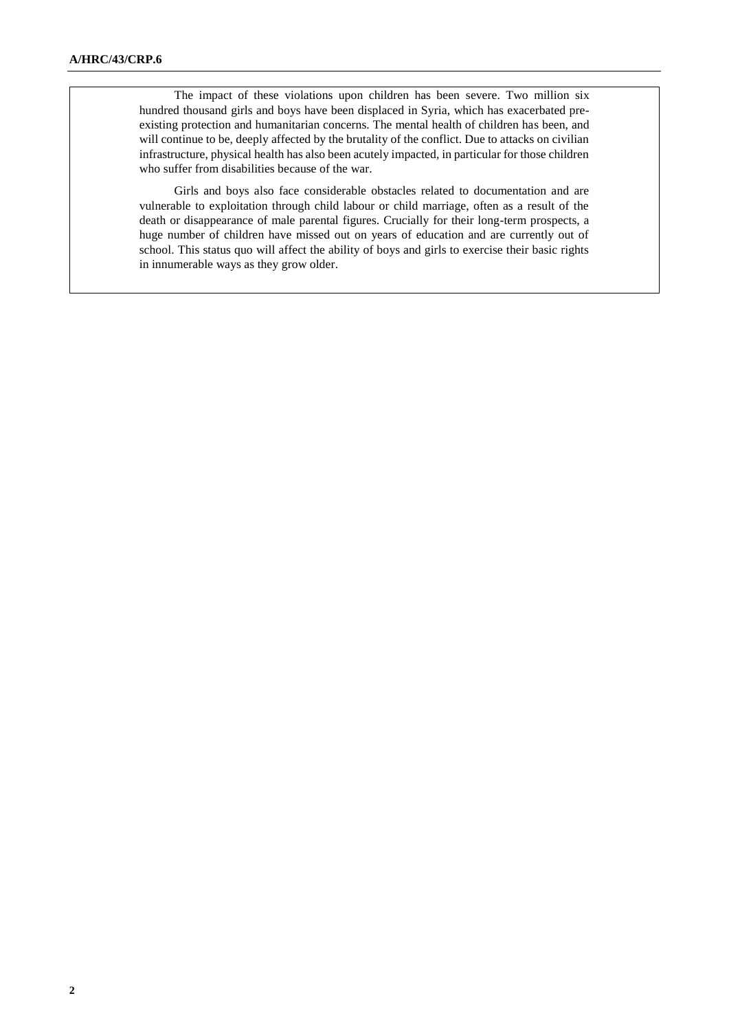The impact of these violations upon children has been severe. Two million six hundred thousand girls and boys have been displaced in Syria, which has exacerbated preexisting protection and humanitarian concerns. The mental health of children has been, and will continue to be, deeply affected by the brutality of the conflict. Due to attacks on civilian infrastructure, physical health has also been acutely impacted, in particular for those children who suffer from disabilities because of the war.

Girls and boys also face considerable obstacles related to documentation and are vulnerable to exploitation through child labour or child marriage, often as a result of the death or disappearance of male parental figures. Crucially for their long-term prospects, a huge number of children have missed out on years of education and are currently out of school. This status quo will affect the ability of boys and girls to exercise their basic rights in innumerable ways as they grow older.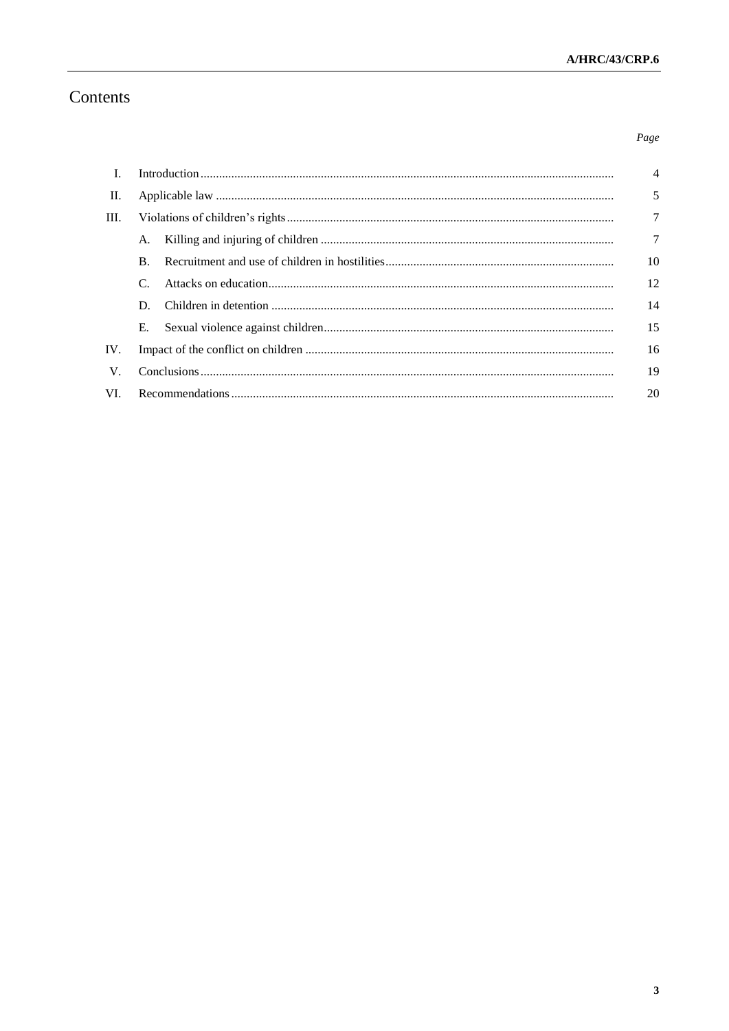# Contents

# $Page$

| - I.        |                       |  | $\overline{4}$ |
|-------------|-----------------------|--|----------------|
| П.          |                       |  | 5              |
| III.        |                       |  | 7              |
|             | A.                    |  | $\tau$         |
|             | $\mathbf{B}$ .        |  | 10             |
|             | $\mathcal{C}_{\cdot}$ |  | 12             |
|             | D.                    |  | 14             |
|             | Е.                    |  | 15             |
| IV.         |                       |  | 16             |
| $V_{\cdot}$ |                       |  | 19             |
| VI.         |                       |  |                |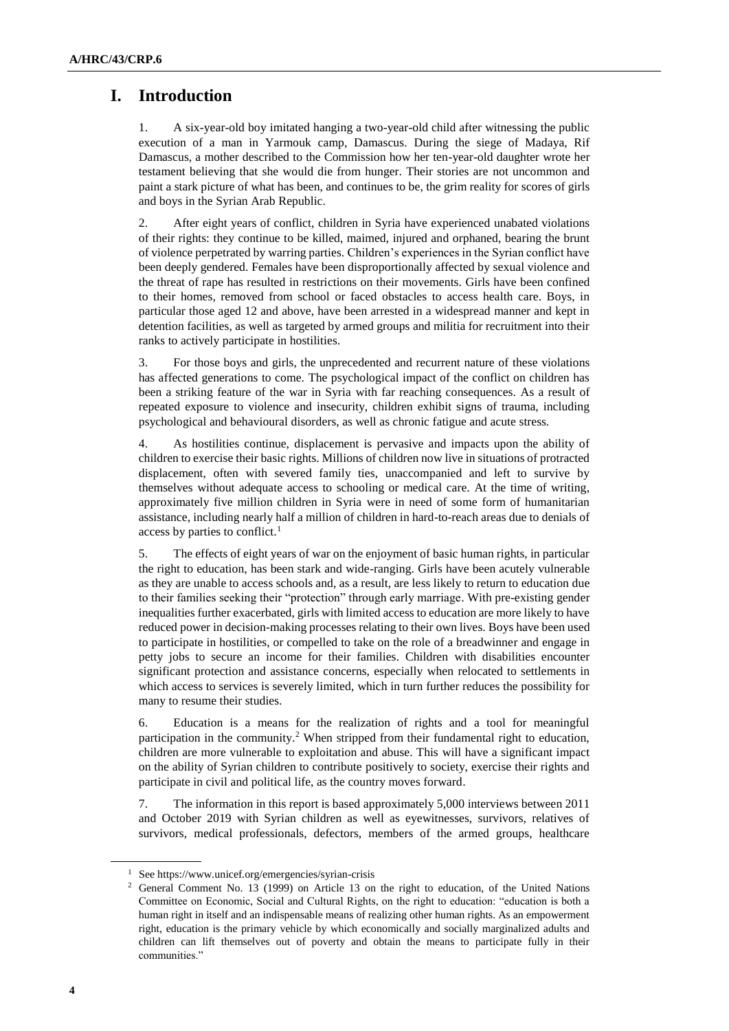# **I. Introduction**

1. A six-year-old boy imitated hanging a two-year-old child after witnessing the public execution of a man in Yarmouk camp, Damascus. During the siege of Madaya, Rif Damascus, a mother described to the Commission how her ten-year-old daughter wrote her testament believing that she would die from hunger. Their stories are not uncommon and paint a stark picture of what has been, and continues to be, the grim reality for scores of girls and boys in the Syrian Arab Republic.

2. After eight years of conflict, children in Syria have experienced unabated violations of their rights: they continue to be killed, maimed, injured and orphaned, bearing the brunt of violence perpetrated by warring parties. Children's experiences in the Syrian conflict have been deeply gendered. Females have been disproportionally affected by sexual violence and the threat of rape has resulted in restrictions on their movements. Girls have been confined to their homes, removed from school or faced obstacles to access health care. Boys, in particular those aged 12 and above, have been arrested in a widespread manner and kept in detention facilities, as well as targeted by armed groups and militia for recruitment into their ranks to actively participate in hostilities.

3. For those boys and girls, the unprecedented and recurrent nature of these violations has affected generations to come. The psychological impact of the conflict on children has been a striking feature of the war in Syria with far reaching consequences. As a result of repeated exposure to violence and insecurity, children exhibit signs of trauma, including psychological and behavioural disorders, as well as chronic fatigue and acute stress.

4. As hostilities continue, displacement is pervasive and impacts upon the ability of children to exercise their basic rights. Millions of children now live in situations of protracted displacement, often with severed family ties, unaccompanied and left to survive by themselves without adequate access to schooling or medical care. At the time of writing, approximately five million children in Syria were in need of some form of humanitarian assistance, including nearly half a million of children in hard-to-reach areas due to denials of access by parties to conflict.<sup>1</sup>

5. The effects of eight years of war on the enjoyment of basic human rights, in particular the right to education, has been stark and wide-ranging. Girls have been acutely vulnerable as they are unable to access schools and, as a result, are less likely to return to education due to their families seeking their "protection" through early marriage. With pre-existing gender inequalities further exacerbated, girls with limited access to education are more likely to have reduced power in decision-making processes relating to their own lives. Boys have been used to participate in hostilities, or compelled to take on the role of a breadwinner and engage in petty jobs to secure an income for their families. Children with disabilities encounter significant protection and assistance concerns, especially when relocated to settlements in which access to services is severely limited, which in turn further reduces the possibility for many to resume their studies.

6. Education is a means for the realization of rights and a tool for meaningful participation in the community.<sup>2</sup> When stripped from their fundamental right to education, children are more vulnerable to exploitation and abuse. This will have a significant impact on the ability of Syrian children to contribute positively to society, exercise their rights and participate in civil and political life, as the country moves forward.

7. The information in this report is based approximately 5,000 interviews between 2011 and October 2019 with Syrian children as well as eyewitnesses, survivors, relatives of survivors, medical professionals, defectors, members of the armed groups, healthcare

<sup>1</sup> Se[e https://www.unicef.org/emergencies/syrian-crisis](https://www.unicef.org/emergencies/syrian-crisis)

<sup>2</sup> General Comment No. 13 (1999) on Article 13 on the right to education, of the United Nations Committee on Economic, Social and Cultural Rights, on the right to education: "education is both a human right in itself and an indispensable means of realizing other human rights. As an empowerment right, education is the primary vehicle by which economically and socially marginalized adults and children can lift themselves out of poverty and obtain the means to participate fully in their communities."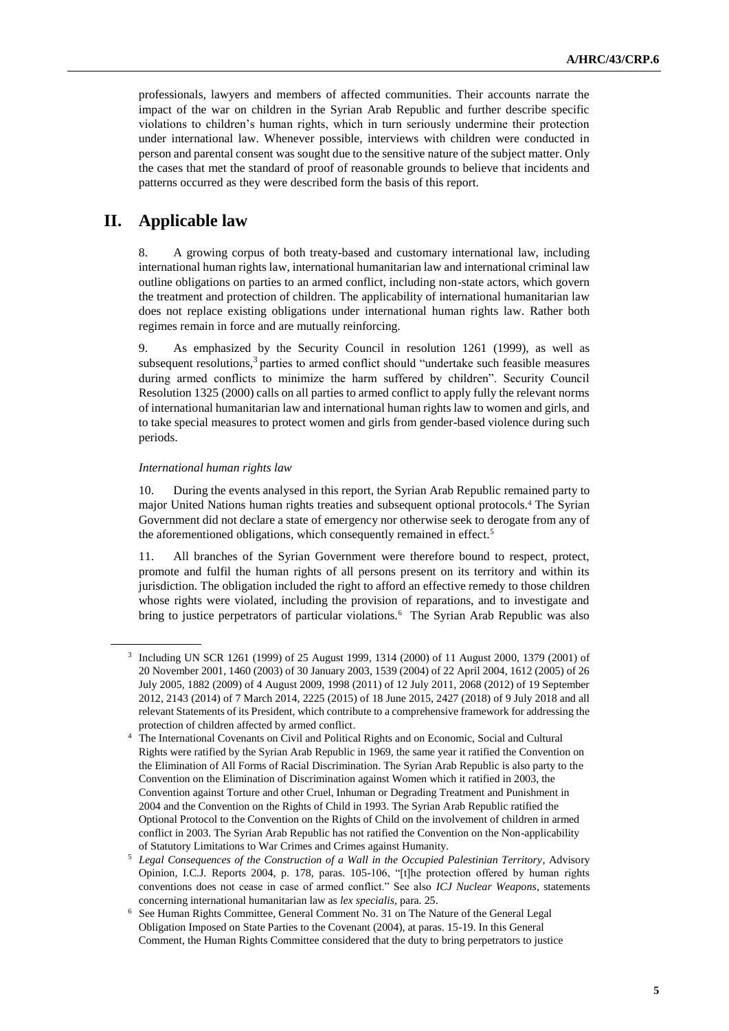professionals, lawyers and members of affected communities. Their accounts narrate the impact of the war on children in the Syrian Arab Republic and further describe specific violations to children's human rights, which in turn seriously undermine their protection under international law. Whenever possible, interviews with children were conducted in person and parental consent was sought due to the sensitive nature of the subject matter. Only the cases that met the standard of proof of reasonable grounds to believe that incidents and patterns occurred as they were described form the basis of this report.

# **II. Applicable law**

8. A growing corpus of both treaty-based and customary international law, including international human rights law, international humanitarian law and international criminal law outline obligations on parties to an armed conflict, including non-state actors, which govern the treatment and protection of children. The applicability of international humanitarian law does not replace existing obligations under international human rights law. Rather both regimes remain in force and are mutually reinforcing.

9. As emphasized by the Security Council in resolution 1261 (1999), as well as subsequent resolutions, $3$  parties to armed conflict should "undertake such feasible measures during armed conflicts to minimize the harm suffered by children". Security Council Resolution 1325 (2000) calls on all parties to armed conflict to apply fully the relevant norms of international humanitarian law and international human rights law to women and girls, and to take special measures to protect women and girls from gender-based violence during such periods.

#### *International human rights law*

10. During the events analysed in this report, the Syrian Arab Republic remained party to major United Nations human rights treaties and subsequent optional protocols.<sup>4</sup> The Syrian Government did not declare a state of emergency nor otherwise seek to derogate from any of the aforementioned obligations, which consequently remained in effect.<sup>5</sup>

11. All branches of the Syrian Government were therefore bound to respect, protect, promote and fulfil the human rights of all persons present on its territory and within its jurisdiction. The obligation included the right to afford an effective remedy to those children whose rights were violated, including the provision of reparations, and to investigate and bring to justice perpetrators of particular violations.<sup>6</sup> The Syrian Arab Republic was also

<sup>3</sup> Including UN SCR 1261 (1999) of 25 August 1999, 1314 (2000) of 11 August 2000, 1379 (2001) of 20 November 2001, 1460 (2003) of 30 January 2003, 1539 (2004) of 22 April 2004, 1612 (2005) of 26 July 2005, 1882 (2009) of 4 August 2009, 1998 (2011) of 12 July 2011, 2068 (2012) of 19 September 2012, 2143 (2014) of 7 March 2014, 2225 (2015) of 18 June 2015, 2427 (2018) of 9 July 2018 and all relevant Statements of its President, which contribute to a comprehensive framework for addressing the protection of children affected by armed conflict.

<sup>&</sup>lt;sup>4</sup> The International Covenants on Civil and Political Rights and on Economic, Social and Cultural Rights were ratified by the Syrian Arab Republic in 1969, the same year it ratified the Convention on the Elimination of All Forms of Racial Discrimination. The Syrian Arab Republic is also party to the Convention on the Elimination of Discrimination against Women which it ratified in 2003, the Convention against Torture and other Cruel, Inhuman or Degrading Treatment and Punishment in 2004 and the Convention on the Rights of Child in 1993. The Syrian Arab Republic ratified the Optional Protocol to the Convention on the Rights of Child on the involvement of children in armed conflict in 2003. The Syrian Arab Republic has not ratified the Convention on the Non-applicability of Statutory Limitations to War Crimes and Crimes against Humanity.

<sup>5</sup> *Legal Consequences of the Construction of a Wall in the Occupied Palestinian Territory*, Advisory Opinion, I.C.J. Reports 2004, p. 178, paras. 105-106, "[t]he protection offered by human rights conventions does not cease in case of armed conflict." See also *ICJ Nuclear Weapons*, statements concerning international humanitarian law as *lex specialis*, para. 25.

<sup>6</sup> See Human Rights Committee, General Comment No. 31 on The Nature of the General Legal Obligation Imposed on State Parties to the Covenant (2004), at paras. 15-19. In this General Comment, the Human Rights Committee considered that the duty to bring perpetrators to justice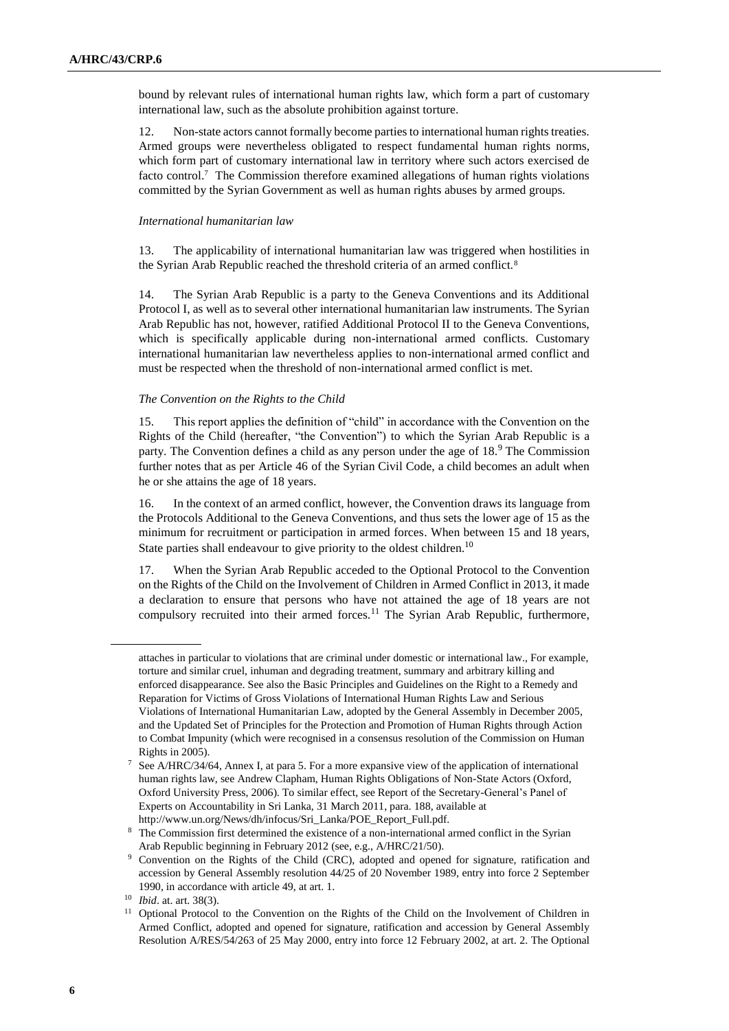bound by relevant rules of international human rights law, which form a part of customary international law, such as the absolute prohibition against torture.

12. Non-state actors cannot formally become parties to international human rights treaties. Armed groups were nevertheless obligated to respect fundamental human rights norms, which form part of customary international law in territory where such actors exercised de facto control.<sup>7</sup> The Commission therefore examined allegations of human rights violations committed by the Syrian Government as well as human rights abuses by armed groups.

## *International humanitarian law*

13. The applicability of international humanitarian law was triggered when hostilities in the Syrian Arab Republic reached the threshold criteria of an armed conflict.<sup>8</sup>

14. The Syrian Arab Republic is a party to the Geneva Conventions and its Additional Protocol I, as well as to several other international humanitarian law instruments. The Syrian Arab Republic has not, however, ratified Additional Protocol II to the Geneva Conventions, which is specifically applicable during non-international armed conflicts. Customary international humanitarian law nevertheless applies to non-international armed conflict and must be respected when the threshold of non-international armed conflict is met.

## *The Convention on the Rights to the Child*

15. This report applies the definition of "child" in accordance with the Convention on the Rights of the Child (hereafter, "the Convention") to which the Syrian Arab Republic is a party. The Convention defines a child as any person under the age of 18.<sup>9</sup> The Commission further notes that as per Article 46 of the Syrian Civil Code, a child becomes an adult when he or she attains the age of 18 years.

16. In the context of an armed conflict, however, the Convention draws its language from the Protocols Additional to the Geneva Conventions, and thus sets the lower age of 15 as the minimum for recruitment or participation in armed forces. When between 15 and 18 years, State parties shall endeavour to give priority to the oldest children.<sup>10</sup>

17. When the Syrian Arab Republic acceded to the Optional Protocol to the Convention on the Rights of the Child on the Involvement of Children in Armed Conflict in 2013, it made a declaration to ensure that persons who have not attained the age of 18 years are not compulsory recruited into their armed forces.<sup>11</sup> The Syrian Arab Republic, furthermore,

attaches in particular to violations that are criminal under domestic or international law., For example, torture and similar cruel, inhuman and degrading treatment, summary and arbitrary killing and enforced disappearance. See also the Basic Principles and Guidelines on the Right to a Remedy and Reparation for Victims of Gross Violations of International Human Rights Law and Serious Violations of International Humanitarian Law, adopted by the General Assembly in December 2005, and the Updated Set of Principles for the Protection and Promotion of Human Rights through Action to Combat Impunity (which were recognised in a consensus resolution of the Commission on Human Rights in 2005).

<sup>7</sup> See A/HRC/34/64, Annex I, at para 5. For a more expansive view of the application of international human rights law, see Andrew Clapham, Human Rights Obligations of Non-State Actors (Oxford, Oxford University Press, 2006). To similar effect, see Report of the Secretary-General's Panel of Experts on Accountability in Sri Lanka, 31 March 2011, para. 188, available at http://www.un.org/News/dh/infocus/Sri\_Lanka/POE\_Report\_Full.pdf.

<sup>8</sup> The Commission first determined the existence of a non-international armed conflict in the Syrian Arab Republic beginning in February 2012 (see, e.g., A/HRC/21/50).

<sup>9</sup> Convention on the Rights of the Child (CRC), adopted and opened for signature, ratification and accession by General Assembly resolution 44/25 of 20 November 1989, entry into force 2 September 1990, in accordance with article 49, at art. 1.

<sup>10</sup> *Ibid*. at. art. 38(3).

<sup>&</sup>lt;sup>11</sup> Optional Protocol to the Convention on the Rights of the Child on the Involvement of Children in Armed Conflict, adopted and opened for signature, ratification and accession by General Assembly Resolution A/RES/54/263 of 25 May 2000, entry into force 12 February 2002, at art. 2. The Optional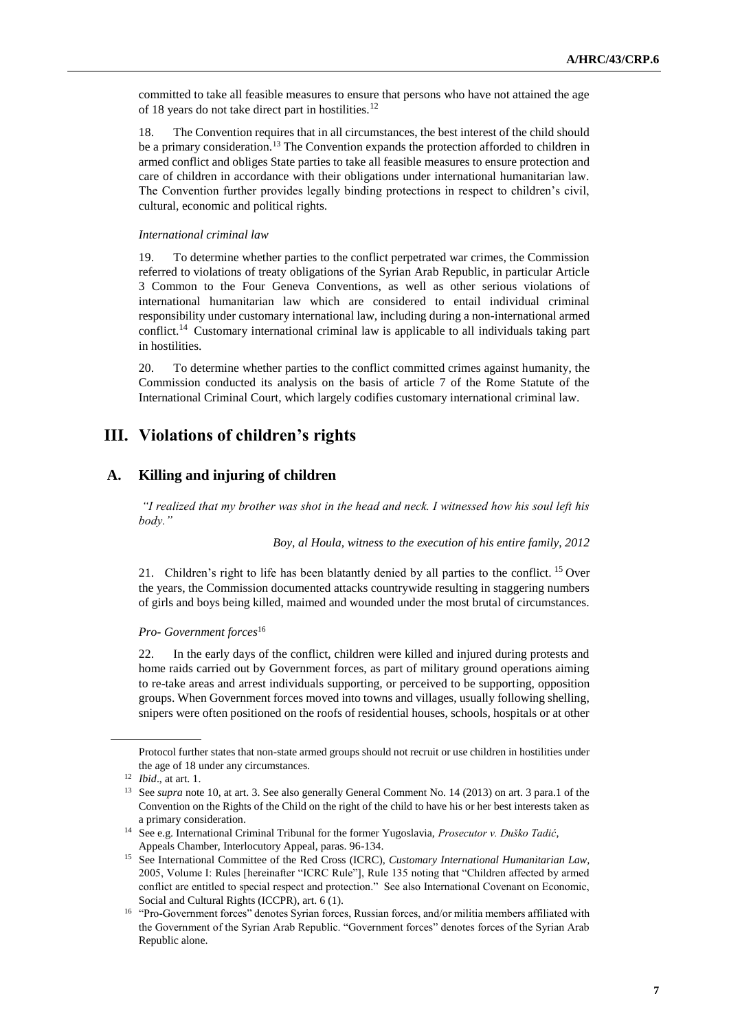committed to take all feasible measures to ensure that persons who have not attained the age of 18 years do not take direct part in hostilities.<sup>12</sup>

18. The Convention requires that in all circumstances, the best interest of the child should be a primary consideration.<sup>13</sup> The Convention expands the protection afforded to children in armed conflict and obliges State parties to take all feasible measures to ensure protection and care of children in accordance with their obligations under international humanitarian law. The Convention further provides legally binding protections in respect to children's civil, cultural, economic and political rights.

# *International criminal law*

19. To determine whether parties to the conflict perpetrated war crimes, the Commission referred to violations of treaty obligations of the Syrian Arab Republic, in particular Article 3 Common to the Four Geneva Conventions, as well as other serious violations of international humanitarian law which are considered to entail individual criminal responsibility under customary international law, including during a non-international armed conflict.<sup>14</sup> Customary international criminal law is applicable to all individuals taking part in hostilities.

20. To determine whether parties to the conflict committed crimes against humanity, the Commission conducted its analysis on the basis of article 7 of the Rome Statute of the International Criminal Court, which largely codifies customary international criminal law.

# **III. Violations of children's rights**

# **A. Killing and injuring of children**

*"I realized that my brother was shot in the head and neck. I witnessed how his soul left his body."*

*Boy, al Houla, witness to the execution of his entire family, 2012*

21. Children's right to life has been blatantly denied by all parties to the conflict. <sup>15</sup> Over the years, the Commission documented attacks countrywide resulting in staggering numbers of girls and boys being killed, maimed and wounded under the most brutal of circumstances.

### *Pro- Government forces*<sup>16</sup>

22. In the early days of the conflict, children were killed and injured during protests and home raids carried out by Government forces, as part of military ground operations aiming to re-take areas and arrest individuals supporting, or perceived to be supporting, opposition groups. When Government forces moved into towns and villages, usually following shelling, snipers were often positioned on the roofs of residential houses, schools, hospitals or at other

Protocol further states that non-state armed groups should not recruit or use children in hostilities under the age of 18 under any circumstances.

<sup>12</sup> *Ibid*., at art. 1.

<sup>&</sup>lt;sup>13</sup> See *supra* note 10, at art. 3. See also generally General Comment No. 14 (2013) on art. 3 para.1 of the Convention on the Rights of the Child on the right of the child to have his or her best interests taken as a primary consideration.

<sup>14</sup> See e.g. International Criminal Tribunal for the former Yugoslavia, *Prosecutor v. Duško Tadić*, Appeals Chamber, Interlocutory Appeal, paras. 96-134.

<sup>15</sup> See International Committee of the Red Cross (ICRC), *Customary International Humanitarian Law,* 2005, Volume I: Rules [hereinafter "ICRC Rule"], Rule 135 noting that "Children affected by armed conflict are entitled to special respect and protection." See also International Covenant on Economic, Social and Cultural Rights (ICCPR), art. 6 (1).

<sup>&</sup>lt;sup>16</sup> "Pro-Government forces" denotes Syrian forces, Russian forces, and/or militia members affiliated with the Government of the Syrian Arab Republic. "Government forces" denotes forces of the Syrian Arab Republic alone.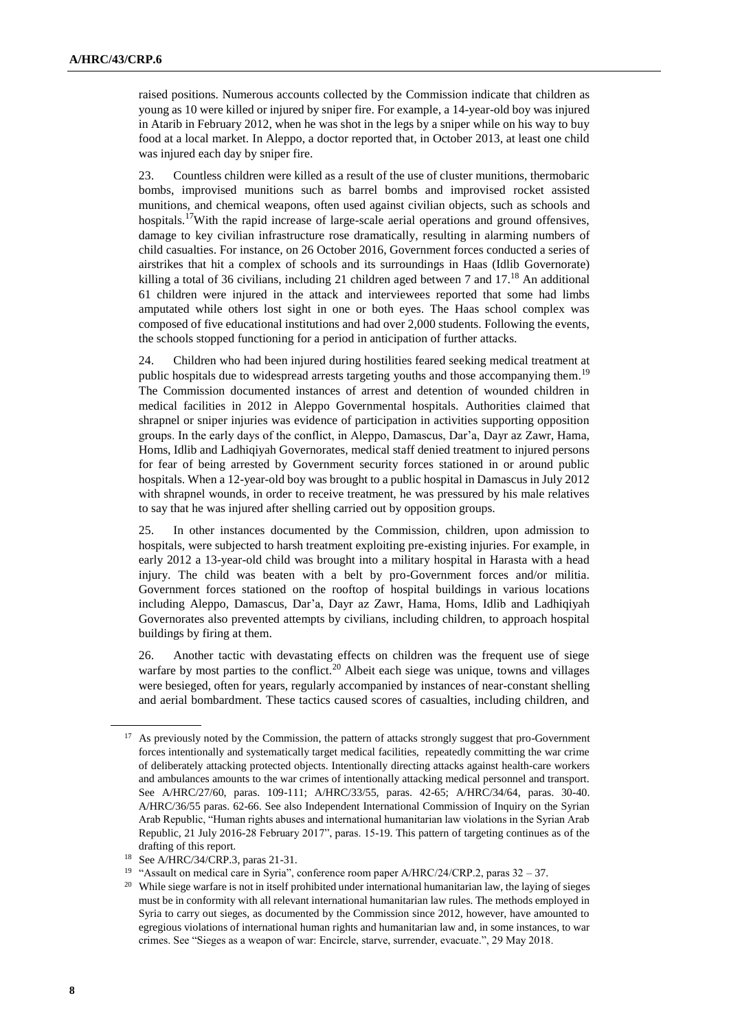raised positions. Numerous accounts collected by the Commission indicate that children as young as 10 were killed or injured by sniper fire. For example, a 14-year-old boy was injured in Atarib in February 2012, when he was shot in the legs by a sniper while on his way to buy food at a local market. In Aleppo, a doctor reported that, in October 2013, at least one child was injured each day by sniper fire.

23. Countless children were killed as a result of the use of cluster munitions, thermobaric bombs, improvised munitions such as barrel bombs and improvised rocket assisted munitions, and chemical weapons, often used against civilian objects, such as schools and hospitals.<sup>17</sup>With the rapid increase of large-scale aerial operations and ground offensives, damage to key civilian infrastructure rose dramatically, resulting in alarming numbers of child casualties. For instance, on 26 October 2016, Government forces conducted a series of airstrikes that hit a complex of schools and its surroundings in Haas (Idlib Governorate) killing a total of 36 civilians, including 21 children aged between 7 and  $17<sup>18</sup>$  An additional 61 children were injured in the attack and interviewees reported that some had limbs amputated while others lost sight in one or both eyes. The Haas school complex was composed of five educational institutions and had over 2,000 students. Following the events, the schools stopped functioning for a period in anticipation of further attacks.

24. Children who had been injured during hostilities feared seeking medical treatment at public hospitals due to widespread arrests targeting youths and those accompanying them.<sup>19</sup> The Commission documented instances of arrest and detention of wounded children in medical facilities in 2012 in Aleppo Governmental hospitals. Authorities claimed that shrapnel or sniper injuries was evidence of participation in activities supporting opposition groups. In the early days of the conflict, in Aleppo, Damascus, Dar'a, Dayr az Zawr, Hama, Homs, Idlib and Ladhiqiyah Governorates, medical staff denied treatment to injured persons for fear of being arrested by Government security forces stationed in or around public hospitals. When a 12-year-old boy was brought to a public hospital in Damascus in July 2012 with shrapnel wounds, in order to receive treatment, he was pressured by his male relatives to say that he was injured after shelling carried out by opposition groups.

25. In other instances documented by the Commission, children, upon admission to hospitals, were subjected to harsh treatment exploiting pre-existing injuries. For example, in early 2012 a 13-year-old child was brought into a military hospital in Harasta with a head injury. The child was beaten with a belt by pro-Government forces and/or militia. Government forces stationed on the rooftop of hospital buildings in various locations including Aleppo, Damascus, Dar'a, Dayr az Zawr, Hama, Homs, Idlib and Ladhiqiyah Governorates also prevented attempts by civilians, including children, to approach hospital buildings by firing at them.

26. Another tactic with devastating effects on children was the frequent use of siege warfare by most parties to the conflict.<sup>20</sup> Albeit each siege was unique, towns and villages were besieged, often for years, regularly accompanied by instances of near-constant shelling and aerial bombardment. These tactics caused scores of casualties, including children, and

<sup>&</sup>lt;sup>17</sup> As previously noted by the Commission, the pattern of attacks strongly suggest that pro-Government forces intentionally and systematically target medical facilities, repeatedly committing the war crime of deliberately attacking protected objects. Intentionally directing attacks against health-care workers and ambulances amounts to the war crimes of intentionally attacking medical personnel and transport. See A/HRC/27/60, paras. 109-111; A/HRC/33/55, paras. 42-65; A/HRC/34/64, paras. 30-40. A/HRC/36/55 paras. 62-66. See also Independent International Commission of Inquiry on the Syrian Arab Republic, "Human rights abuses and international humanitarian law violations in the Syrian Arab Republic, 21 July 2016-28 February 2017", paras. 15-19. This pattern of targeting continues as of the drafting of this report.

<sup>18</sup> See A/HRC/34/CRP.3, paras 21-31.

<sup>&</sup>lt;sup>19</sup> "Assault on medical care in Syria", conference room paper A/HRC/24/CRP.2, paras  $32 - 37$ .

<sup>&</sup>lt;sup>20</sup> While siege warfare is not in itself prohibited under international humanitarian law, the laying of sieges must be in conformity with all relevant international humanitarian law rules. The methods employed in Syria to carry out sieges, as documented by the Commission since 2012, however, have amounted to egregious violations of international human rights and humanitarian law and, in some instances, to war crimes. See "Sieges as a weapon of war: Encircle, starve, surrender, evacuate.", 29 May 2018.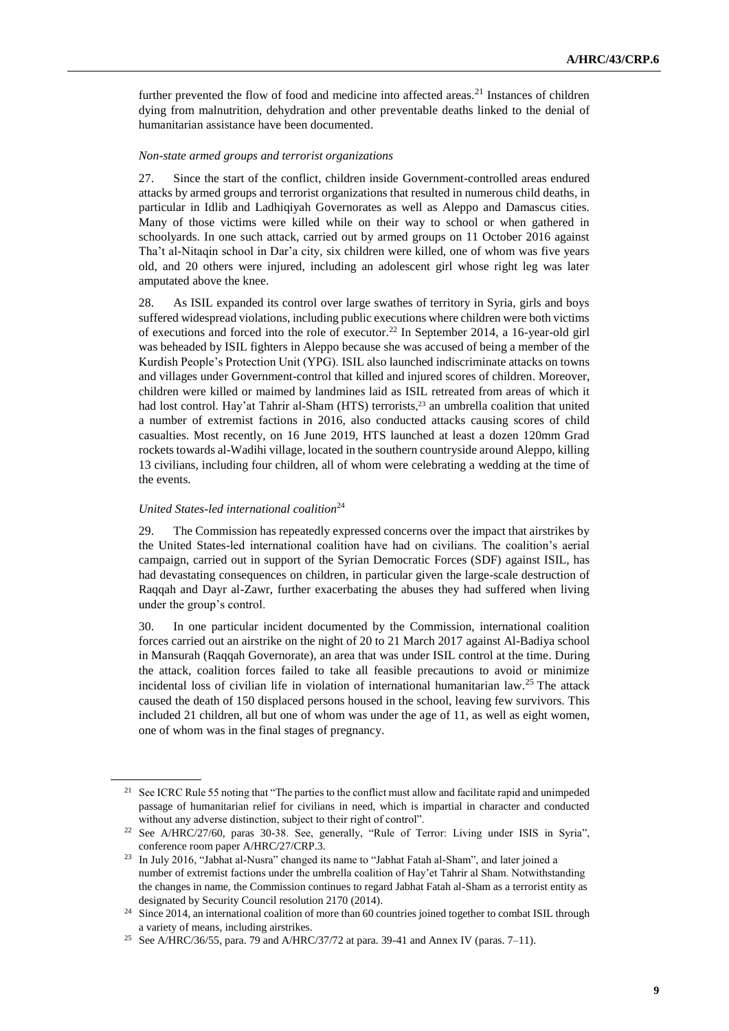further prevented the flow of food and medicine into affected areas.<sup>21</sup> Instances of children dying from malnutrition, dehydration and other preventable deaths linked to the denial of humanitarian assistance have been documented.

## *Non-state armed groups and terrorist organizations*

27. Since the start of the conflict, children inside Government-controlled areas endured attacks by armed groups and terrorist organizations that resulted in numerous child deaths, in particular in Idlib and Ladhiqiyah Governorates as well as Aleppo and Damascus cities. Many of those victims were killed while on their way to school or when gathered in schoolyards. In one such attack, carried out by armed groups on 11 October 2016 against Tha't al-Nitaqin school in Dar'a city, six children were killed, one of whom was five years old, and 20 others were injured, including an adolescent girl whose right leg was later amputated above the knee.

28. As ISIL expanded its control over large swathes of territory in Syria, girls and boys suffered widespread violations, including public executions where children were both victims of executions and forced into the role of executor.<sup>22</sup> In September 2014, a 16-year-old girl was beheaded by ISIL fighters in Aleppo because she was accused of being a member of the Kurdish People's Protection Unit (YPG). ISIL also launched indiscriminate attacks on towns and villages under Government-control that killed and injured scores of children. Moreover, children were killed or maimed by landmines laid as ISIL retreated from areas of which it had lost control. Hay'at Tahrir al-Sham (HTS) terrorists, <sup>23</sup> an umbrella coalition that united a number of extremist factions in 2016, also conducted attacks causing scores of child casualties. Most recently, on 16 June 2019, HTS launched at least a dozen 120mm Grad rockets towards al-Wadihi village, located in the southern countryside around Aleppo, killing 13 civilians, including four children, all of whom were celebrating a wedding at the time of the events.

## *United States-led international coalition*<sup>24</sup>

29. The Commission has repeatedly expressed concerns over the impact that airstrikes by the United States-led international coalition have had on civilians. The coalition's aerial campaign, carried out in support of the Syrian Democratic Forces (SDF) against ISIL, has had devastating consequences on children, in particular given the large-scale destruction of Raqqah and Dayr al-Zawr, further exacerbating the abuses they had suffered when living under the group's control.

30. In one particular incident documented by the Commission, international coalition forces carried out an airstrike on the night of 20 to 21 March 2017 against Al-Badiya school in Mansurah (Raqqah Governorate), an area that was under ISIL control at the time. During the attack, coalition forces failed to take all feasible precautions to avoid or minimize incidental loss of civilian life in violation of international humanitarian law. <sup>25</sup> The attack caused the death of 150 displaced persons housed in the school, leaving few survivors. This included 21 children, all but one of whom was under the age of 11, as well as eight women, one of whom was in the final stages of pregnancy.

<sup>&</sup>lt;sup>21</sup> See ICRC Rule 55 noting that "The parties to the conflict must allow and facilitate rapid and unimpeded passage of humanitarian relief for civilians in need, which is impartial in character and conducted without any adverse distinction, subject to their right of control".

<sup>22</sup> See A/HRC/27/60, paras 30-38. See, generally, "Rule of Terror: Living under ISIS in Syria", conference room paper A/HRC/27/CRP.3.

<sup>&</sup>lt;sup>23</sup> In July 2016, "Jabhat al-Nusra" changed its name to "Jabhat Fatah al-Sham", and later joined a number of extremist factions under the umbrella coalition of Hay'et Tahrir al Sham. Notwithstanding the changes in name, the Commission continues to regard Jabhat Fatah al-Sham as a terrorist entity as designated by Security Council resolution 2170 (2014).

<sup>&</sup>lt;sup>24</sup> Since 2014, an international coalition of more than 60 countries joined together to combat ISIL through a variety of means, including airstrikes.

<sup>&</sup>lt;sup>25</sup> See A/HRC/36/55, para. 79 and A/HRC/37/72 at para. 39-41 and Annex IV (paras. 7-11).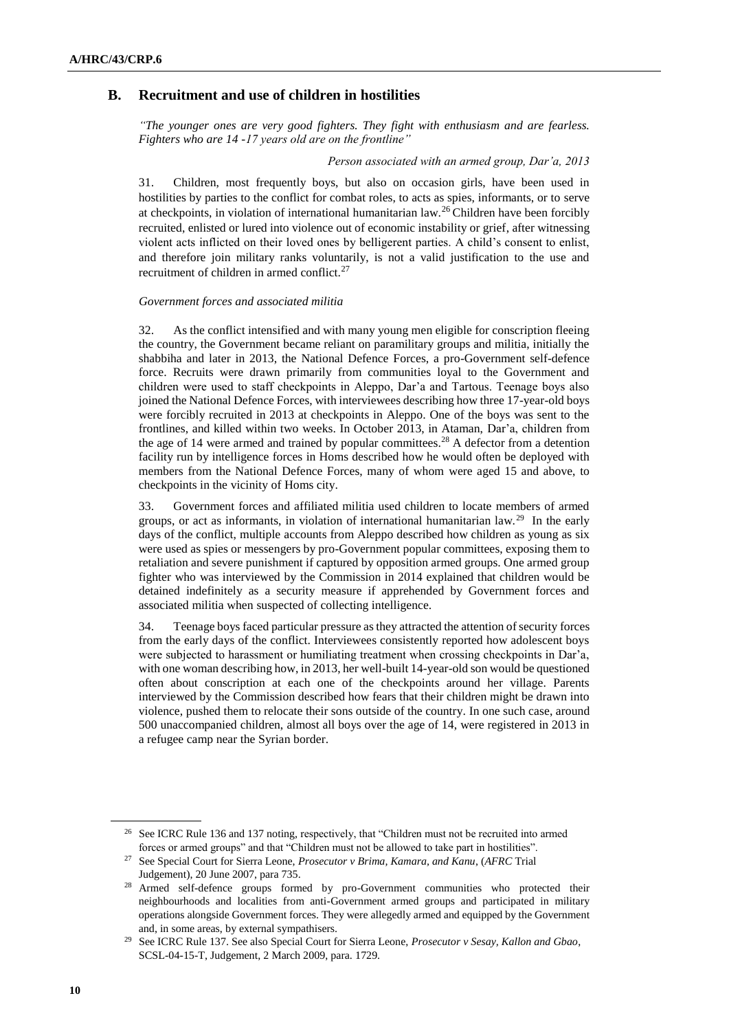# **B. Recruitment and use of children in hostilities**

*"The younger ones are very good fighters. They fight with enthusiasm and are fearless. Fighters who are 14 -17 years old are on the frontline"*

*Person associated with an armed group, Dar'a, 2013*

31. Children, most frequently boys, but also on occasion girls, have been used in hostilities by parties to the conflict for combat roles, to acts as spies, informants, or to serve at checkpoints, in violation of international humanitarian law.<sup>26</sup> Children have been forcibly recruited, enlisted or lured into violence out of economic instability or grief, after witnessing violent acts inflicted on their loved ones by belligerent parties. A child's consent to enlist, and therefore join military ranks voluntarily, is not a valid justification to the use and recruitment of children in armed conflict. $27$ 

### *Government forces and associated militia*

32. As the conflict intensified and with many young men eligible for conscription fleeing the country, the Government became reliant on paramilitary groups and militia, initially the shabbiha and later in 2013, the National Defence Forces, a pro-Government self-defence force. Recruits were drawn primarily from communities loyal to the Government and children were used to staff checkpoints in Aleppo, Dar'a and Tartous. Teenage boys also joined the National Defence Forces, with interviewees describing how three 17-year-old boys were forcibly recruited in 2013 at checkpoints in Aleppo. One of the boys was sent to the frontlines, and killed within two weeks. In October 2013, in Ataman, Dar'a, children from the age of 14 were armed and trained by popular committees.<sup>28</sup> A defector from a detention facility run by intelligence forces in Homs described how he would often be deployed with members from the National Defence Forces, many of whom were aged 15 and above, to checkpoints in the vicinity of Homs city.

33. Government forces and affiliated militia used children to locate members of armed groups, or act as informants, in violation of international humanitarian law.<sup>29</sup> In the early days of the conflict, multiple accounts from Aleppo described how children as young as six were used as spies or messengers by pro-Government popular committees, exposing them to retaliation and severe punishment if captured by opposition armed groups. One armed group fighter who was interviewed by the Commission in 2014 explained that children would be detained indefinitely as a security measure if apprehended by Government forces and associated militia when suspected of collecting intelligence.

34. Teenage boys faced particular pressure as they attracted the attention of security forces from the early days of the conflict. Interviewees consistently reported how adolescent boys were subjected to harassment or humiliating treatment when crossing checkpoints in Dar'a, with one woman describing how, in 2013, her well-built 14-year-old son would be questioned often about conscription at each one of the checkpoints around her village. Parents interviewed by the Commission described how fears that their children might be drawn into violence, pushed them to relocate their sons outside of the country. In one such case, around 500 unaccompanied children, almost all boys over the age of 14, were registered in 2013 in a refugee camp near the Syrian border.

<sup>&</sup>lt;sup>26</sup> See ICRC Rule 136 and 137 noting, respectively, that "Children must not be recruited into armed forces or armed groups" and that "Children must not be allowed to take part in hostilities".

<sup>27</sup> See Special Court for Sierra Leone, *Prosecutor v Brima, Kamara, and Kanu*, (*AFRC* Trial Judgement), 20 June 2007, para 735.

<sup>28</sup> Armed self-defence groups formed by pro-Government communities who protected their neighbourhoods and localities from anti-Government armed groups and participated in military operations alongside Government forces. They were allegedly armed and equipped by the Government and, in some areas, by external sympathisers.

<sup>29</sup> See ICRC Rule 137. See also Special Court for Sierra Leone, *Prosecutor v Sesay, Kallon and Gbao*, SCSL-04-15-T, Judgement, 2 March 2009, para. 1729.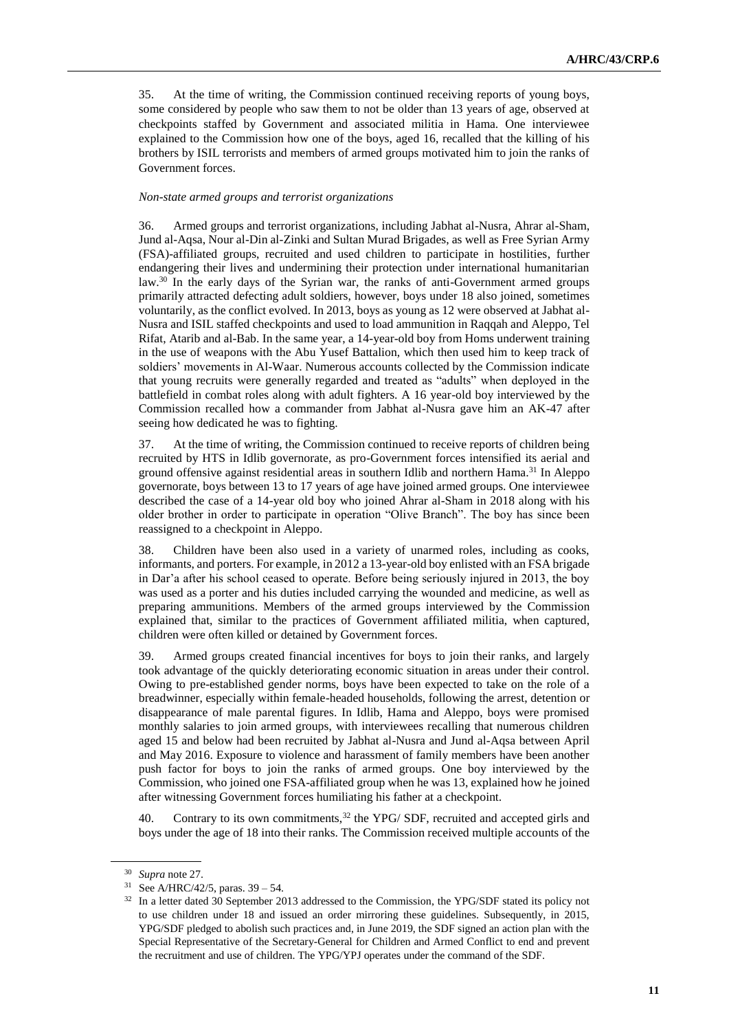35. At the time of writing, the Commission continued receiving reports of young boys, some considered by people who saw them to not be older than 13 years of age, observed at checkpoints staffed by Government and associated militia in Hama. One interviewee explained to the Commission how one of the boys, aged 16, recalled that the killing of his brothers by ISIL terrorists and members of armed groups motivated him to join the ranks of Government forces.

### *Non-state armed groups and terrorist organizations*

36. Armed groups and terrorist organizations, including Jabhat al-Nusra, Ahrar al-Sham, Jund al-Aqsa, Nour al-Din al-Zinki and Sultan Murad Brigades, as well as Free Syrian Army (FSA)-affiliated groups, recruited and used children to participate in hostilities, further endangering their lives and undermining their protection under international humanitarian law.<sup>30</sup> In the early days of the Syrian war, the ranks of anti-Government armed groups primarily attracted defecting adult soldiers, however, boys under 18 also joined, sometimes voluntarily, as the conflict evolved. In 2013, boys as young as 12 were observed at Jabhat al-Nusra and ISIL staffed checkpoints and used to load ammunition in Raqqah and Aleppo, Tel Rifat, Atarib and al-Bab. In the same year, a 14-year-old boy from Homs underwent training in the use of weapons with the Abu Yusef Battalion, which then used him to keep track of soldiers' movements in Al-Waar. Numerous accounts collected by the Commission indicate that young recruits were generally regarded and treated as "adults" when deployed in the battlefield in combat roles along with adult fighters. A 16 year-old boy interviewed by the Commission recalled how a commander from Jabhat al-Nusra gave him an AK-47 after seeing how dedicated he was to fighting.

37. At the time of writing, the Commission continued to receive reports of children being recruited by HTS in Idlib governorate, as pro-Government forces intensified its aerial and ground offensive against residential areas in southern Idlib and northern Hama.<sup>31</sup> In Aleppo governorate, boys between 13 to 17 years of age have joined armed groups. One interviewee described the case of a 14-year old boy who joined Ahrar al-Sham in 2018 along with his older brother in order to participate in operation "Olive Branch". The boy has since been reassigned to a checkpoint in Aleppo.

38. Children have been also used in a variety of unarmed roles, including as cooks, informants, and porters. For example, in 2012 a 13-year-old boy enlisted with an FSA brigade in Dar'a after his school ceased to operate. Before being seriously injured in 2013, the boy was used as a porter and his duties included carrying the wounded and medicine, as well as preparing ammunitions. Members of the armed groups interviewed by the Commission explained that, similar to the practices of Government affiliated militia, when captured, children were often killed or detained by Government forces.

39. Armed groups created financial incentives for boys to join their ranks, and largely took advantage of the quickly deteriorating economic situation in areas under their control. Owing to pre-established gender norms, boys have been expected to take on the role of a breadwinner, especially within female-headed households, following the arrest, detention or disappearance of male parental figures. In Idlib, Hama and Aleppo, boys were promised monthly salaries to join armed groups, with interviewees recalling that numerous children aged 15 and below had been recruited by Jabhat al-Nusra and Jund al-Aqsa between April and May 2016. Exposure to violence and harassment of family members have been another push factor for boys to join the ranks of armed groups. One boy interviewed by the Commission, who joined one FSA-affiliated group when he was 13, explained how he joined after witnessing Government forces humiliating his father at a checkpoint.

40. Contrary to its own commitments,<sup>32</sup> the YPG/ SDF, recruited and accepted girls and boys under the age of 18 into their ranks. The Commission received multiple accounts of the

<sup>30</sup> *Supra* note 27.

<sup>&</sup>lt;sup>31</sup> See A/HRC/42/5, paras.  $39 - 54$ .

<sup>&</sup>lt;sup>32</sup> In a letter dated 30 September 2013 addressed to the Commission, the YPG/SDF stated its policy not to use children under 18 and issued an order mirroring these guidelines. Subsequently, in 2015, YPG/SDF pledged to abolish such practices and, in June 2019, the SDF signed an action plan with the Special Representative of the Secretary-General for Children and Armed Conflict to end and prevent the recruitment and use of children. The YPG/YPJ operates under the command of the SDF.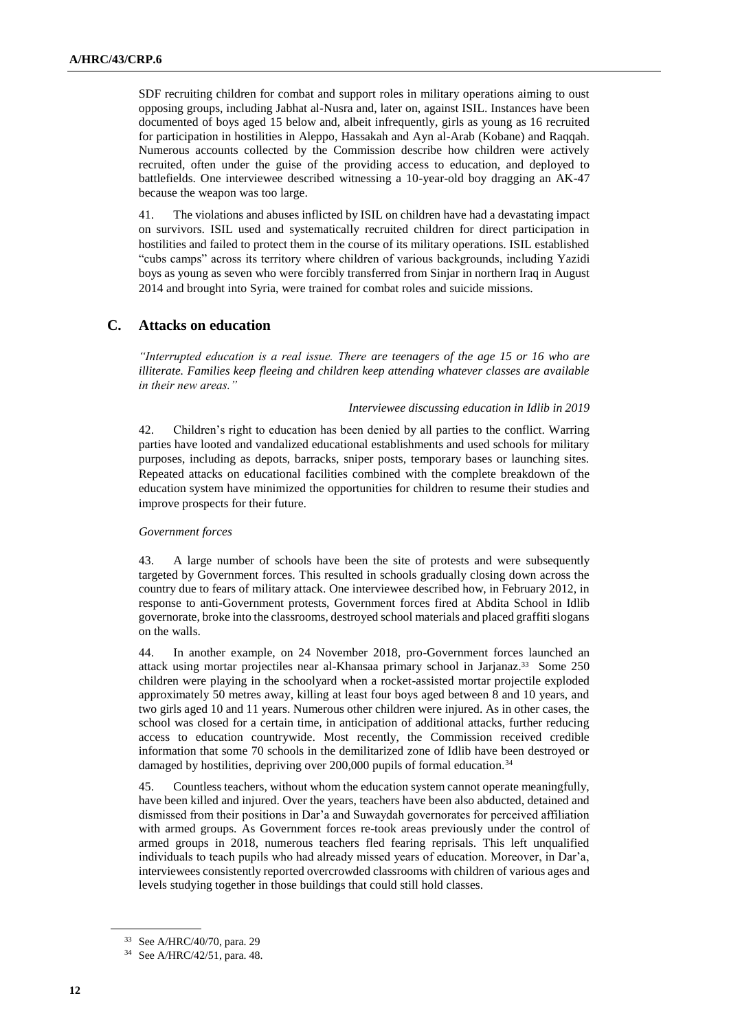SDF recruiting children for combat and support roles in military operations aiming to oust opposing groups, including Jabhat al-Nusra and, later on, against ISIL. Instances have been documented of boys aged 15 below and, albeit infrequently, girls as young as 16 recruited for participation in hostilities in Aleppo, Hassakah and Ayn al-Arab (Kobane) and Raqqah. Numerous accounts collected by the Commission describe how children were actively recruited, often under the guise of the providing access to education, and deployed to battlefields. One interviewee described witnessing a 10-year-old boy dragging an AK-47 because the weapon was too large.

41. The violations and abuses inflicted by ISIL on children have had a devastating impact on survivors. ISIL used and systematically recruited children for direct participation in hostilities and failed to protect them in the course of its military operations. ISIL established "cubs camps" across its territory where children of various backgrounds, including Yazidi boys as young as seven who were forcibly transferred from Sinjar in northern Iraq in August 2014 and brought into Syria, were trained for combat roles and suicide missions.

# **C. Attacks on education**

*"Interrupted education is a real issue. There are teenagers of the age 15 or 16 who are illiterate. Families keep fleeing and children keep attending whatever classes are available in their new areas."*

### *Interviewee discussing education in Idlib in 2019*

42. Children's right to education has been denied by all parties to the conflict. Warring parties have looted and vandalized educational establishments and used schools for military purposes, including as depots, barracks, sniper posts, temporary bases or launching sites. Repeated attacks on educational facilities combined with the complete breakdown of the education system have minimized the opportunities for children to resume their studies and improve prospects for their future.

#### *Government forces*

43. A large number of schools have been the site of protests and were subsequently targeted by Government forces. This resulted in schools gradually closing down across the country due to fears of military attack. One interviewee described how, in February 2012, in response to anti-Government protests, Government forces fired at Abdita School in Idlib governorate, broke into the classrooms, destroyed school materials and placed graffiti slogans on the walls.

44. In another example, on 24 November 2018, pro-Government forces launched an attack using mortar projectiles near al-Khansaa primary school in Jarjanaz.<sup>33</sup> Some 250 children were playing in the schoolyard when a rocket-assisted mortar projectile exploded approximately 50 metres away, killing at least four boys aged between 8 and 10 years, and two girls aged 10 and 11 years. Numerous other children were injured. As in other cases, the school was closed for a certain time, in anticipation of additional attacks, further reducing access to education countrywide. Most recently, the Commission received credible information that some 70 schools in the demilitarized zone of Idlib have been destroyed or damaged by hostilities, depriving over 200,000 pupils of formal education.<sup>34</sup>

45. Countless teachers, without whom the education system cannot operate meaningfully, have been killed and injured. Over the years, teachers have been also abducted, detained and dismissed from their positions in Dar'a and Suwaydah governorates for perceived affiliation with armed groups. As Government forces re-took areas previously under the control of armed groups in 2018, numerous teachers fled fearing reprisals. This left unqualified individuals to teach pupils who had already missed years of education. Moreover, in Dar'a, interviewees consistently reported overcrowded classrooms with children of various ages and levels studying together in those buildings that could still hold classes.

<sup>33</sup> See A/HRC/40/70, para. 29

<sup>34</sup> See A/HRC/42/51, para. 48.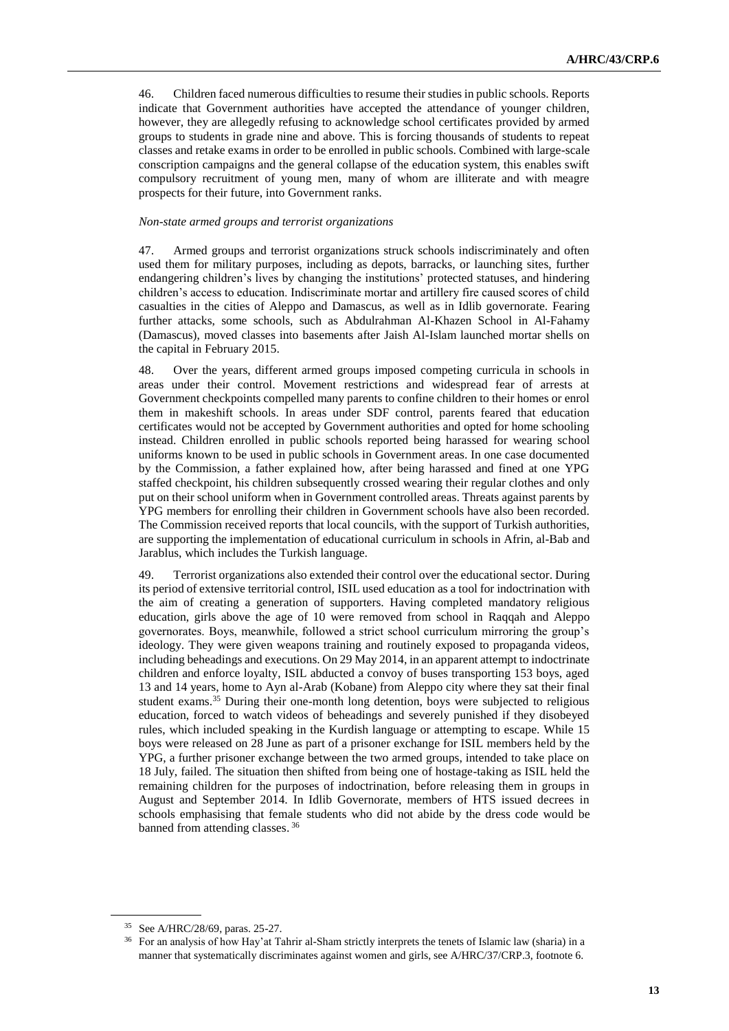46. Children faced numerous difficulties to resume their studies in public schools. Reports indicate that Government authorities have accepted the attendance of younger children, however, they are allegedly refusing to acknowledge school certificates provided by armed groups to students in grade nine and above. This is forcing thousands of students to repeat classes and retake exams in order to be enrolled in public schools. Combined with large-scale conscription campaigns and the general collapse of the education system, this enables swift compulsory recruitment of young men, many of whom are illiterate and with meagre prospects for their future, into Government ranks.

#### *Non-state armed groups and terrorist organizations*

47. Armed groups and terrorist organizations struck schools indiscriminately and often used them for military purposes, including as depots, barracks, or launching sites, further endangering children's lives by changing the institutions' protected statuses, and hindering children's access to education. Indiscriminate mortar and artillery fire caused scores of child casualties in the cities of Aleppo and Damascus, as well as in Idlib governorate. Fearing further attacks, some schools, such as Abdulrahman Al-Khazen School in Al-Fahamy (Damascus), moved classes into basements after Jaish Al-Islam launched mortar shells on the capital in February 2015.

48. Over the years, different armed groups imposed competing curricula in schools in areas under their control. Movement restrictions and widespread fear of arrests at Government checkpoints compelled many parents to confine children to their homes or enrol them in makeshift schools. In areas under SDF control, parents feared that education certificates would not be accepted by Government authorities and opted for home schooling instead. Children enrolled in public schools reported being harassed for wearing school uniforms known to be used in public schools in Government areas. In one case documented by the Commission, a father explained how, after being harassed and fined at one YPG staffed checkpoint, his children subsequently crossed wearing their regular clothes and only put on their school uniform when in Government controlled areas. Threats against parents by YPG members for enrolling their children in Government schools have also been recorded. The Commission received reports that local councils, with the support of Turkish authorities, are supporting the implementation of educational curriculum in schools in Afrin, al-Bab and Jarablus, which includes the Turkish language.

49. Terrorist organizations also extended their control over the educational sector. During its period of extensive territorial control, ISIL used education as a tool for indoctrination with the aim of creating a generation of supporters. Having completed mandatory religious education, girls above the age of 10 were removed from school in Raqqah and Aleppo governorates. Boys, meanwhile, followed a strict school curriculum mirroring the group's ideology. They were given weapons training and routinely exposed to propaganda videos, including beheadings and executions. On 29 May 2014, in an apparent attempt to indoctrinate children and enforce loyalty, ISIL abducted a convoy of buses transporting 153 boys, aged 13 and 14 years, home to Ayn al-Arab (Kobane) from Aleppo city where they sat their final student exams.<sup>35</sup> During their one-month long detention, boys were subjected to religious education, forced to watch videos of beheadings and severely punished if they disobeyed rules, which included speaking in the Kurdish language or attempting to escape. While 15 boys were released on 28 June as part of a prisoner exchange for ISIL members held by the YPG, a further prisoner exchange between the two armed groups, intended to take place on 18 July, failed. The situation then shifted from being one of hostage-taking as ISIL held the remaining children for the purposes of indoctrination, before releasing them in groups in August and September 2014. In Idlib Governorate, members of HTS issued decrees in schools emphasising that female students who did not abide by the dress code would be banned from attending classes. <sup>36</sup>

<sup>35</sup> See A/HRC/28/69, paras. 25-27.

<sup>36</sup> For an analysis of how Hay'at Tahrir al-Sham strictly interprets the tenets of Islamic law (sharia) in a manner that systematically discriminates against women and girls, see A/HRC/37/CRP.3, footnote 6.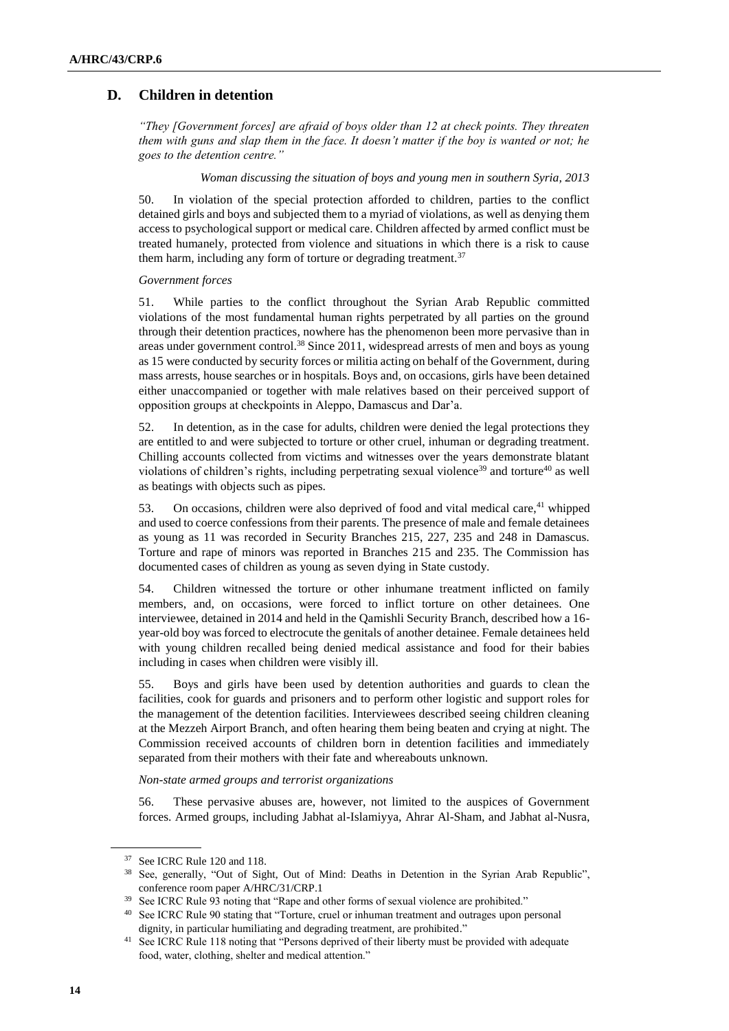# **D. Children in detention**

*"They [Government forces] are afraid of boys older than 12 at check points. They threaten them with guns and slap them in the face. It doesn't matter if the boy is wanted or not; he goes to the detention centre."* 

#### *Woman discussing the situation of boys and young men in southern Syria, 2013*

50. In violation of the special protection afforded to children, parties to the conflict detained girls and boys and subjected them to a myriad of violations, as well as denying them access to psychological support or medical care. Children affected by armed conflict must be treated humanely, protected from violence and situations in which there is a risk to cause them harm, including any form of torture or degrading treatment.<sup>37</sup>

### *Government forces*

51. While parties to the conflict throughout the Syrian Arab Republic committed violations of the most fundamental human rights perpetrated by all parties on the ground through their detention practices, nowhere has the phenomenon been more pervasive than in areas under government control.<sup>38</sup> Since 2011, widespread arrests of men and boys as young as 15 were conducted by security forces or militia acting on behalf of the Government, during mass arrests, house searches or in hospitals. Boys and, on occasions, girls have been detained either unaccompanied or together with male relatives based on their perceived support of opposition groups at checkpoints in Aleppo, Damascus and Dar'a.

52. In detention, as in the case for adults, children were denied the legal protections they are entitled to and were subjected to torture or other cruel, inhuman or degrading treatment. Chilling accounts collected from victims and witnesses over the years demonstrate blatant violations of children's rights, including perpetrating sexual violence<sup>39</sup> and torture<sup>40</sup> as well as beatings with objects such as pipes.

53. On occasions, children were also deprived of food and vital medical care,<sup>41</sup> whipped and used to coerce confessions from their parents. The presence of male and female detainees as young as 11 was recorded in Security Branches 215, 227, 235 and 248 in Damascus. Torture and rape of minors was reported in Branches 215 and 235. The Commission has documented cases of children as young as seven dying in State custody.

54. Children witnessed the torture or other inhumane treatment inflicted on family members, and, on occasions, were forced to inflict torture on other detainees. One interviewee, detained in 2014 and held in the Qamishli Security Branch, described how a 16 year-old boy was forced to electrocute the genitals of another detainee. Female detainees held with young children recalled being denied medical assistance and food for their babies including in cases when children were visibly ill.

55. Boys and girls have been used by detention authorities and guards to clean the facilities, cook for guards and prisoners and to perform other logistic and support roles for the management of the detention facilities. Interviewees described seeing children cleaning at the Mezzeh Airport Branch, and often hearing them being beaten and crying at night. The Commission received accounts of children born in detention facilities and immediately separated from their mothers with their fate and whereabouts unknown.

### *Non-state armed groups and terrorist organizations*

56. These pervasive abuses are, however, not limited to the auspices of Government forces. Armed groups, including Jabhat al-Islamiyya, Ahrar Al-Sham, and Jabhat al-Nusra,

<sup>37</sup> See ICRC Rule 120 and 118.

<sup>38</sup> See, generally, "Out of Sight, Out of Mind: Deaths in Detention in the Syrian Arab Republic", conference room paper A/HRC/31/CRP.1

<sup>&</sup>lt;sup>39</sup> See ICRC Rule 93 noting that "Rape and other forms of sexual violence are prohibited."

<sup>40</sup> See ICRC Rule 90 stating that "Torture, cruel or inhuman treatment and outrages upon personal dignity, in particular humiliating and degrading treatment, are prohibited."

<sup>&</sup>lt;sup>41</sup> See ICRC Rule 118 noting that "Persons deprived of their liberty must be provided with adequate food, water, clothing, shelter and medical attention."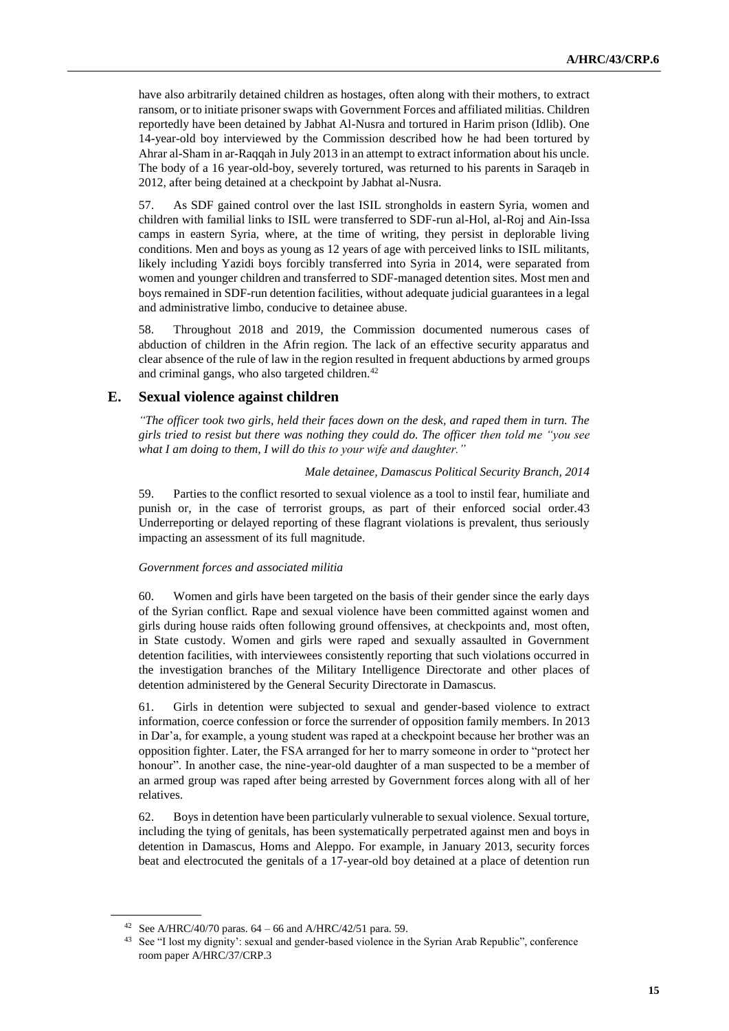have also arbitrarily detained children as hostages, often along with their mothers, to extract ransom, or to initiate prisoner swaps with Government Forces and affiliated militias. Children reportedly have been detained by Jabhat Al-Nusra and tortured in Harim prison (Idlib). One 14-year-old boy interviewed by the Commission described how he had been tortured by Ahrar al-Sham in ar-Raqqah in July 2013 in an attempt to extract information about his uncle. The body of a 16 year-old-boy, severely tortured, was returned to his parents in Saraqeb in 2012, after being detained at a checkpoint by Jabhat al-Nusra.

57. As SDF gained control over the last ISIL strongholds in eastern Syria, women and children with familial links to ISIL were transferred to SDF-run al-Hol, al-Roj and Ain-Issa camps in eastern Syria, where, at the time of writing, they persist in deplorable living conditions. Men and boys as young as 12 years of age with perceived links to ISIL militants, likely including Yazidi boys forcibly transferred into Syria in 2014, were separated from women and younger children and transferred to SDF-managed detention sites. Most men and boys remained in SDF-run detention facilities, without adequate judicial guarantees in a legal and administrative limbo, conducive to detainee abuse.

58. Throughout 2018 and 2019, the Commission documented numerous cases of abduction of children in the Afrin region. The lack of an effective security apparatus and clear absence of the rule of law in the region resulted in frequent abductions by armed groups and criminal gangs, who also targeted children.<sup>42</sup>

# **E. Sexual violence against children**

*"The officer took two girls, held their faces down on the desk, and raped them in turn. The girls tried to resist but there was nothing they could do. The officer then told me "you see what I am doing to them, I will do this to your wife and daughter."*

#### *Male detainee, Damascus Political Security Branch, 2014*

59. Parties to the conflict resorted to sexual violence as a tool to instil fear, humiliate and punish or, in the case of terrorist groups, as part of their enforced social order.43 Underreporting or delayed reporting of these flagrant violations is prevalent, thus seriously impacting an assessment of its full magnitude.

### *Government forces and associated militia*

60. Women and girls have been targeted on the basis of their gender since the early days of the Syrian conflict. Rape and sexual violence have been committed against women and girls during house raids often following ground offensives, at checkpoints and, most often, in State custody. Women and girls were raped and sexually assaulted in Government detention facilities, with interviewees consistently reporting that such violations occurred in the investigation branches of the Military Intelligence Directorate and other places of detention administered by the General Security Directorate in Damascus.

61. Girls in detention were subjected to sexual and gender-based violence to extract information, coerce confession or force the surrender of opposition family members. In 2013 in Dar'a, for example, a young student was raped at a checkpoint because her brother was an opposition fighter. Later, the FSA arranged for her to marry someone in order to "protect her honour". In another case, the nine-year-old daughter of a man suspected to be a member of an armed group was raped after being arrested by Government forces along with all of her relatives.

62. Boys in detention have been particularly vulnerable to sexual violence. Sexual torture, including the tying of genitals, has been systematically perpetrated against men and boys in detention in Damascus, Homs and Aleppo. For example, in January 2013, security forces beat and electrocuted the genitals of a 17-year-old boy detained at a place of detention run

<sup>&</sup>lt;sup>42</sup> See A/HRC/40/70 paras.  $64 - 66$  and A/HRC/42/51 para. 59.

<sup>&</sup>lt;sup>43</sup> See "I lost my dignity': sexual and gender-based violence in the Syrian Arab Republic", conference room paper A/HRC/37/CRP.3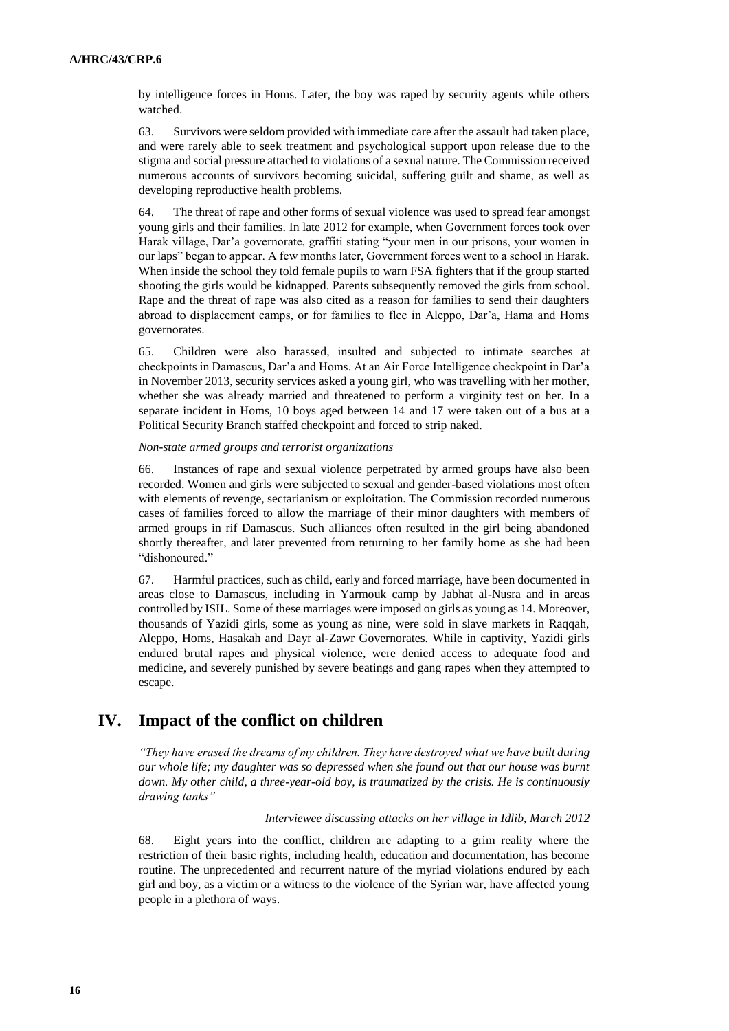by intelligence forces in Homs. Later, the boy was raped by security agents while others watched.

63. Survivors were seldom provided with immediate care after the assault had taken place, and were rarely able to seek treatment and psychological support upon release due to the stigma and social pressure attached to violations of a sexual nature. The Commission received numerous accounts of survivors becoming suicidal, suffering guilt and shame, as well as developing reproductive health problems.

64. The threat of rape and other forms of sexual violence was used to spread fear amongst young girls and their families. In late 2012 for example, when Government forces took over Harak village, Dar'a governorate, graffiti stating "your men in our prisons, your women in our laps" began to appear. A few months later, Government forces went to a school in Harak. When inside the school they told female pupils to warn FSA fighters that if the group started shooting the girls would be kidnapped. Parents subsequently removed the girls from school. Rape and the threat of rape was also cited as a reason for families to send their daughters abroad to displacement camps, or for families to flee in Aleppo, Dar'a, Hama and Homs governorates.

65. Children were also harassed, insulted and subjected to intimate searches at checkpoints in Damascus, Dar'a and Homs. At an Air Force Intelligence checkpoint in Dar'a in November 2013, security services asked a young girl, who was travelling with her mother, whether she was already married and threatened to perform a virginity test on her. In a separate incident in Homs, 10 boys aged between 14 and 17 were taken out of a bus at a Political Security Branch staffed checkpoint and forced to strip naked.

# *Non-state armed groups and terrorist organizations*

66. Instances of rape and sexual violence perpetrated by armed groups have also been recorded. Women and girls were subjected to sexual and gender-based violations most often with elements of revenge, sectarianism or exploitation. The Commission recorded numerous cases of families forced to allow the marriage of their minor daughters with members of armed groups in rif Damascus. Such alliances often resulted in the girl being abandoned shortly thereafter, and later prevented from returning to her family home as she had been "dishonoured."

67. Harmful practices, such as child, early and forced marriage, have been documented in areas close to Damascus, including in Yarmouk camp by Jabhat al-Nusra and in areas controlled by ISIL. Some of these marriages were imposed on girls as young as 14. Moreover, thousands of Yazidi girls, some as young as nine, were sold in slave markets in Raqqah, Aleppo, Homs, Hasakah and Dayr al-Zawr Governorates. While in captivity, Yazidi girls endured brutal rapes and physical violence, were denied access to adequate food and medicine, and severely punished by severe beatings and gang rapes when they attempted to escape.

# **IV. Impact of the conflict on children**

*"They have erased the dreams of my children. They have destroyed what we have built during our whole life; my daughter was so depressed when she found out that our house was burnt down. My other child, a three-year-old boy, is traumatized by the crisis. He is continuously drawing tanks"* 

### *Interviewee discussing attacks on her village in Idlib, March 2012*

68. Eight years into the conflict, children are adapting to a grim reality where the restriction of their basic rights, including health, education and documentation, has become routine. The unprecedented and recurrent nature of the myriad violations endured by each girl and boy, as a victim or a witness to the violence of the Syrian war, have affected young people in a plethora of ways.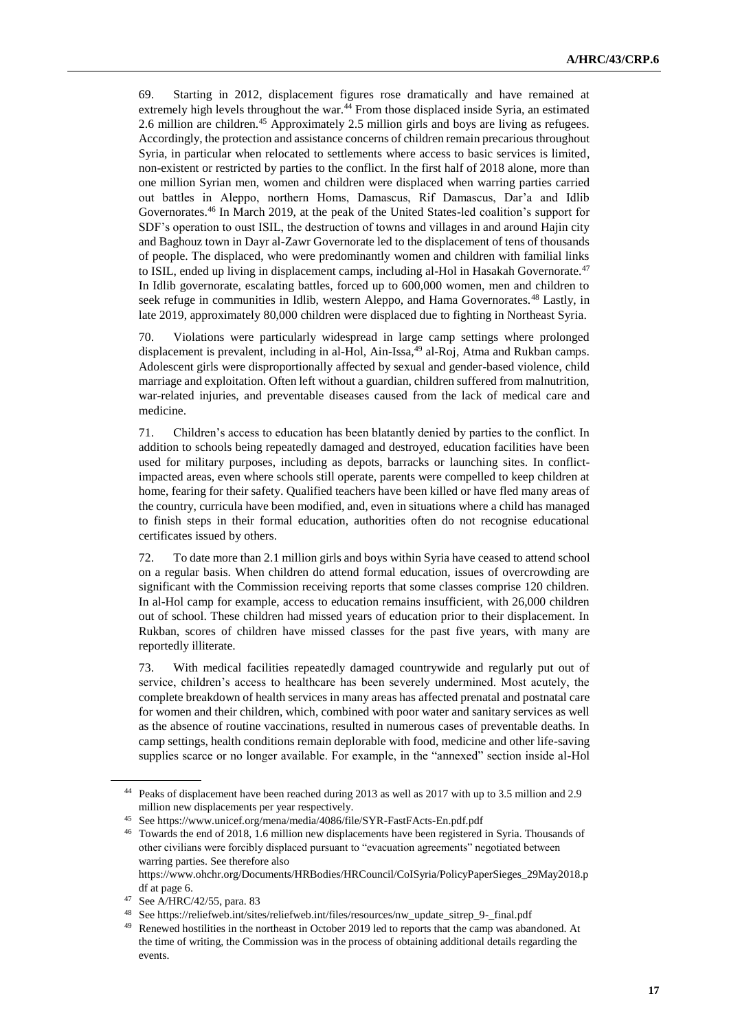69. Starting in 2012, displacement figures rose dramatically and have remained at extremely high levels throughout the war.<sup>44</sup> From those displaced inside Syria, an estimated 2.6 million are children.<sup>45</sup> Approximately 2.5 million girls and boys are living as refugees. Accordingly, the protection and assistance concerns of children remain precarious throughout Syria, in particular when relocated to settlements where access to basic services is limited, non-existent or restricted by parties to the conflict. In the first half of 2018 alone, more than one million Syrian men, women and children were displaced when warring parties carried out battles in Aleppo, northern Homs, Damascus, Rif Damascus, Dar'a and Idlib Governorates.<sup>46</sup> In March 2019, at the peak of the United States-led coalition's support for SDF's operation to oust ISIL, the destruction of towns and villages in and around Hajin city and Baghouz town in Dayr al-Zawr Governorate led to the displacement of tens of thousands of people. The displaced, who were predominantly women and children with familial links to ISIL, ended up living in displacement camps, including al-Hol in Hasakah Governorate.<sup>47</sup> In Idlib governorate, escalating battles, forced up to 600,000 women, men and children to seek refuge in communities in Idlib, western Aleppo, and Hama Governorates.<sup>48</sup> Lastly, in late 2019, approximately 80,000 children were displaced due to fighting in Northeast Syria.

70. Violations were particularly widespread in large camp settings where prolonged displacement is prevalent, including in al-Hol, Ain-Issa,<sup>49</sup> al-Roj, Atma and Rukban camps. Adolescent girls were disproportionally affected by sexual and gender-based violence, child marriage and exploitation. Often left without a guardian, children suffered from malnutrition, war-related injuries, and preventable diseases caused from the lack of medical care and medicine.

71. Children's access to education has been blatantly denied by parties to the conflict. In addition to schools being repeatedly damaged and destroyed, education facilities have been used for military purposes, including as depots, barracks or launching sites. In conflictimpacted areas, even where schools still operate, parents were compelled to keep children at home, fearing for their safety. Qualified teachers have been killed or have fled many areas of the country, curricula have been modified, and, even in situations where a child has managed to finish steps in their formal education, authorities often do not recognise educational certificates issued by others.

72. To date more than 2.1 million girls and boys within Syria have ceased to attend school on a regular basis. When children do attend formal education, issues of overcrowding are significant with the Commission receiving reports that some classes comprise 120 children. In al-Hol camp for example, access to education remains insufficient, with 26,000 children out of school. These children had missed years of education prior to their displacement. In Rukban, scores of children have missed classes for the past five years, with many are reportedly illiterate.

73. With medical facilities repeatedly damaged countrywide and regularly put out of service, children's access to healthcare has been severely undermined. Most acutely, the complete breakdown of health services in many areas has affected prenatal and postnatal care for women and their children, which, combined with poor water and sanitary services as well as the absence of routine vaccinations, resulted in numerous cases of preventable deaths. In camp settings, health conditions remain deplorable with food, medicine and other life-saving supplies scarce or no longer available. For example, in the "annexed" section inside al-Hol

<sup>44</sup> Peaks of displacement have been reached during 2013 as well as 2017 with up to 3.5 million and 2.9 million new displacements per year respectively.

<sup>45</sup> Se[e https://www.unicef.org/mena/media/4086/file/SYR-FastFActs-En.pdf.pdf](https://www.unicef.org/mena/media/4086/file/SYR-FastFActs-En.pdf.pdf)

<sup>46</sup> Towards the end of 2018, 1.6 million new displacements have been registered in Syria. Thousands of other civilians were forcibly displaced pursuant to "evacuation agreements" negotiated between warring parties. See therefore also

[https://www.ohchr.org/Documents/HRBodies/HRCouncil/CoISyria/PolicyPaperSieges\\_29May2018.p](https://www.ohchr.org/Documents/HRBodies/HRCouncil/CoISyria/PolicyPaperSieges_29May2018.pdf) [df](https://www.ohchr.org/Documents/HRBodies/HRCouncil/CoISyria/PolicyPaperSieges_29May2018.pdf) at page 6.

<sup>47</sup> See A/HRC/42/55, para. 83

<sup>48</sup> Se[e https://reliefweb.int/sites/reliefweb.int/files/resources/nw\\_update\\_sitrep\\_9-\\_final.pdf](https://reliefweb.int/sites/reliefweb.int/files/resources/nw_update_sitrep_9-_final.pdf)

Renewed hostilities in the northeast in October 2019 led to reports that the camp was abandoned. At the time of writing, the Commission was in the process of obtaining additional details regarding the events.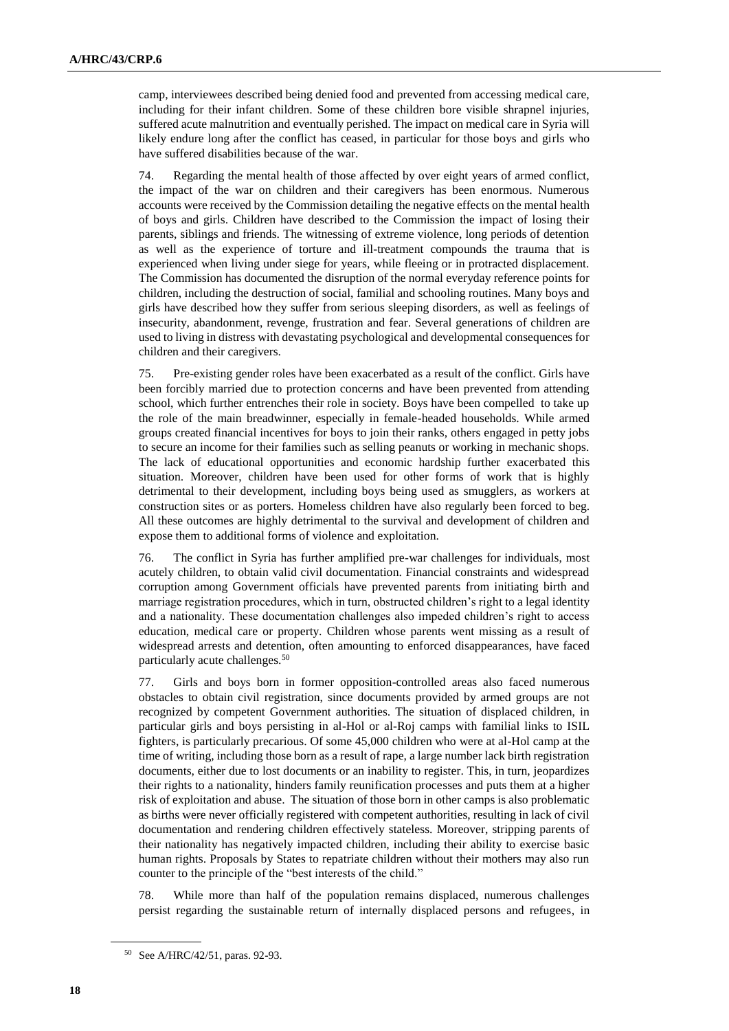camp, interviewees described being denied food and prevented from accessing medical care, including for their infant children. Some of these children bore visible shrapnel injuries, suffered acute malnutrition and eventually perished. The impact on medical care in Syria will likely endure long after the conflict has ceased, in particular for those boys and girls who have suffered disabilities because of the war.

74. Regarding the mental health of those affected by over eight years of armed conflict, the impact of the war on children and their caregivers has been enormous. Numerous accounts were received by the Commission detailing the negative effects on the mental health of boys and girls. Children have described to the Commission the impact of losing their parents, siblings and friends. The witnessing of extreme violence, long periods of detention as well as the experience of torture and ill-treatment compounds the trauma that is experienced when living under siege for years, while fleeing or in protracted displacement. The Commission has documented the disruption of the normal everyday reference points for children, including the destruction of social, familial and schooling routines. Many boys and girls have described how they suffer from serious sleeping disorders, as well as feelings of insecurity, abandonment, revenge, frustration and fear. Several generations of children are used to living in distress with devastating psychological and developmental consequences for children and their caregivers.

75. Pre-existing gender roles have been exacerbated as a result of the conflict. Girls have been forcibly married due to protection concerns and have been prevented from attending school, which further entrenches their role in society. Boys have been compelled to take up the role of the main breadwinner, especially in female-headed households. While armed groups created financial incentives for boys to join their ranks, others engaged in petty jobs to secure an income for their families such as selling peanuts or working in mechanic shops. The lack of educational opportunities and economic hardship further exacerbated this situation. Moreover, children have been used for other forms of work that is highly detrimental to their development, including boys being used as smugglers, as workers at construction sites or as porters. Homeless children have also regularly been forced to beg. All these outcomes are highly detrimental to the survival and development of children and expose them to additional forms of violence and exploitation.

76. The conflict in Syria has further amplified pre-war challenges for individuals, most acutely children, to obtain valid civil documentation. Financial constraints and widespread corruption among Government officials have prevented parents from initiating birth and marriage registration procedures, which in turn, obstructed children's right to a legal identity and a nationality. These documentation challenges also impeded children's right to access education, medical care or property. Children whose parents went missing as a result of widespread arrests and detention, often amounting to enforced disappearances, have faced particularly acute challenges.<sup>50</sup>

77. Girls and boys born in former opposition-controlled areas also faced numerous obstacles to obtain civil registration, since documents provided by armed groups are not recognized by competent Government authorities. The situation of displaced children, in particular girls and boys persisting in al-Hol or al-Roj camps with familial links to ISIL fighters, is particularly precarious. Of some 45,000 children who were at al-Hol camp at the time of writing, including those born as a result of rape, a large number lack birth registration documents, either due to lost documents or an inability to register. This, in turn, jeopardizes their rights to a nationality, hinders family reunification processes and puts them at a higher risk of exploitation and abuse. The situation of those born in other camps is also problematic as births were never officially registered with competent authorities, resulting in lack of civil documentation and rendering children effectively stateless. Moreover, stripping parents of their nationality has negatively impacted children, including their ability to exercise basic human rights. Proposals by States to repatriate children without their mothers may also run counter to the principle of the "best interests of the child."

78. While more than half of the population remains displaced, numerous challenges persist regarding the sustainable return of internally displaced persons and refugees, in

<sup>50</sup> See A/HRC/42/51, paras. 92-93.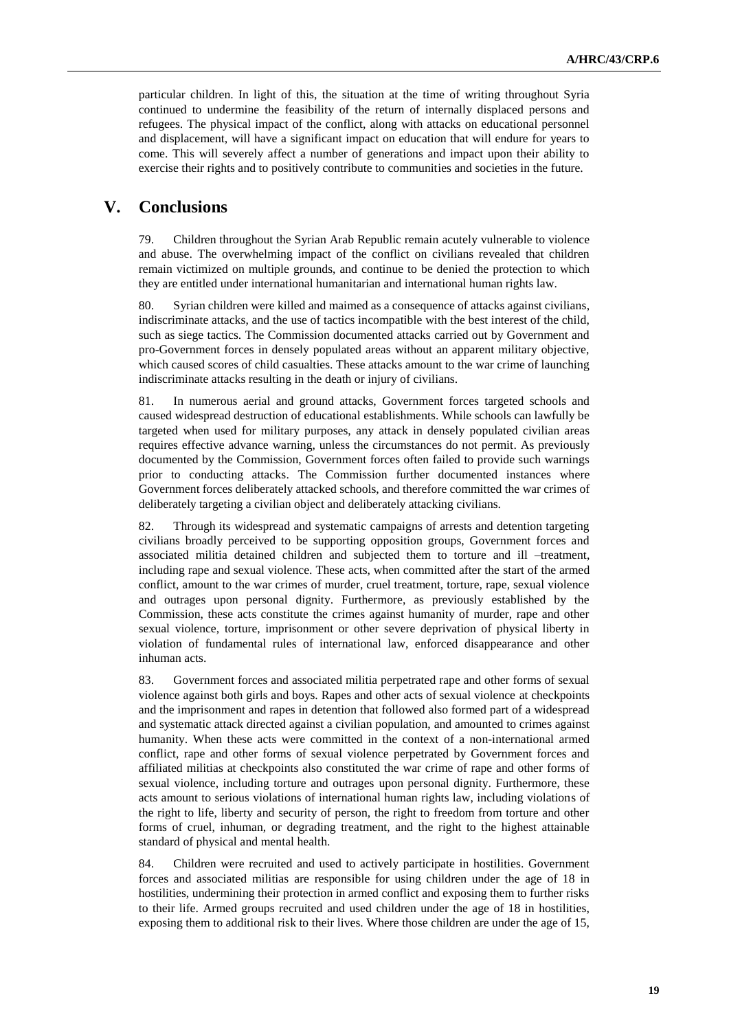particular children. In light of this, the situation at the time of writing throughout Syria continued to undermine the feasibility of the return of internally displaced persons and refugees. The physical impact of the conflict, along with attacks on educational personnel and displacement, will have a significant impact on education that will endure for years to come. This will severely affect a number of generations and impact upon their ability to exercise their rights and to positively contribute to communities and societies in the future.

# **V. Conclusions**

79. Children throughout the Syrian Arab Republic remain acutely vulnerable to violence and abuse. The overwhelming impact of the conflict on civilians revealed that children remain victimized on multiple grounds, and continue to be denied the protection to which they are entitled under international humanitarian and international human rights law.

80. Syrian children were killed and maimed as a consequence of attacks against civilians, indiscriminate attacks, and the use of tactics incompatible with the best interest of the child, such as siege tactics. The Commission documented attacks carried out by Government and pro-Government forces in densely populated areas without an apparent military objective, which caused scores of child casualties. These attacks amount to the war crime of launching indiscriminate attacks resulting in the death or injury of civilians.

81. In numerous aerial and ground attacks, Government forces targeted schools and caused widespread destruction of educational establishments. While schools can lawfully be targeted when used for military purposes, any attack in densely populated civilian areas requires effective advance warning, unless the circumstances do not permit. As previously documented by the Commission, Government forces often failed to provide such warnings prior to conducting attacks. The Commission further documented instances where Government forces deliberately attacked schools, and therefore committed the war crimes of deliberately targeting a civilian object and deliberately attacking civilians.

82. Through its widespread and systematic campaigns of arrests and detention targeting civilians broadly perceived to be supporting opposition groups, Government forces and associated militia detained children and subjected them to torture and ill –treatment, including rape and sexual violence. These acts, when committed after the start of the armed conflict, amount to the war crimes of murder, cruel treatment, torture, rape, sexual violence and outrages upon personal dignity. Furthermore, as previously established by the Commission, these acts constitute the crimes against humanity of murder, rape and other sexual violence, torture, imprisonment or other severe deprivation of physical liberty in violation of fundamental rules of international law, enforced disappearance and other inhuman acts.

83. Government forces and associated militia perpetrated rape and other forms of sexual violence against both girls and boys. Rapes and other acts of sexual violence at checkpoints and the imprisonment and rapes in detention that followed also formed part of a widespread and systematic attack directed against a civilian population, and amounted to crimes against humanity. When these acts were committed in the context of a non-international armed conflict, rape and other forms of sexual violence perpetrated by Government forces and affiliated militias at checkpoints also constituted the war crime of rape and other forms of sexual violence, including torture and outrages upon personal dignity. Furthermore, these acts amount to serious violations of international human rights law, including violations of the right to life, liberty and security of person, the right to freedom from torture and other forms of cruel, inhuman, or degrading treatment, and the right to the highest attainable standard of physical and mental health.

84. Children were recruited and used to actively participate in hostilities. Government forces and associated militias are responsible for using children under the age of 18 in hostilities, undermining their protection in armed conflict and exposing them to further risks to their life. Armed groups recruited and used children under the age of 18 in hostilities, exposing them to additional risk to their lives. Where those children are under the age of 15,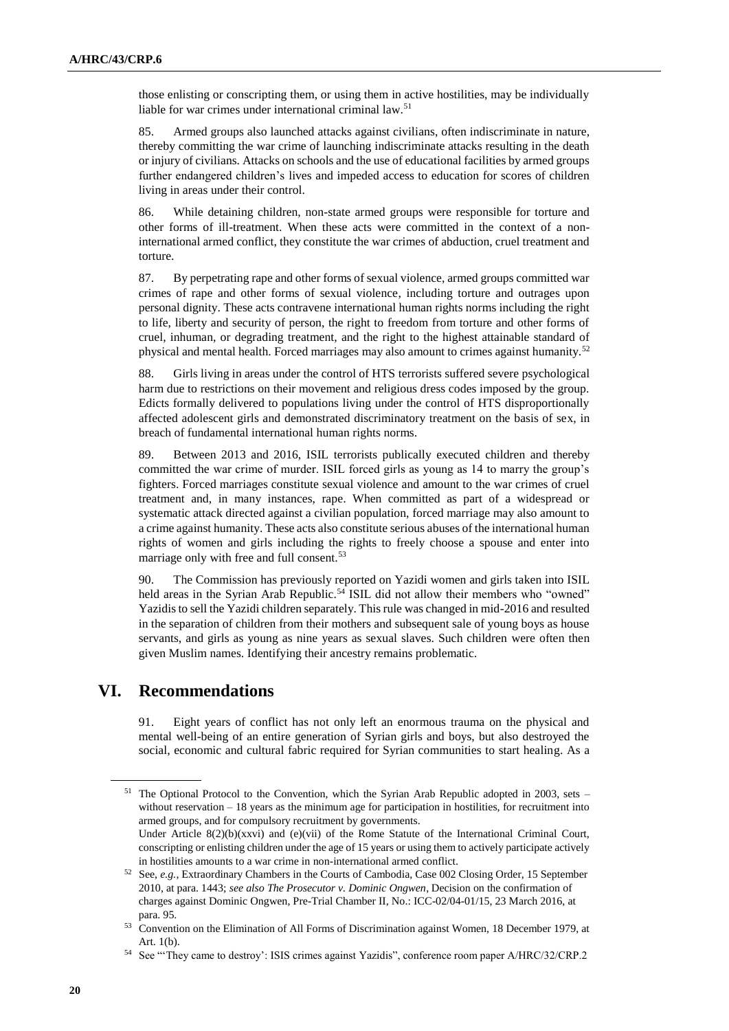those enlisting or conscripting them, or using them in active hostilities, may be individually liable for war crimes under international criminal law.<sup>51</sup>

85. Armed groups also launched attacks against civilians, often indiscriminate in nature, thereby committing the war crime of launching indiscriminate attacks resulting in the death or injury of civilians. Attacks on schools and the use of educational facilities by armed groups further endangered children's lives and impeded access to education for scores of children living in areas under their control.

86. While detaining children, non-state armed groups were responsible for torture and other forms of ill-treatment. When these acts were committed in the context of a noninternational armed conflict, they constitute the war crimes of abduction, cruel treatment and torture.

87. By perpetrating rape and other forms of sexual violence, armed groups committed war crimes of rape and other forms of sexual violence, including torture and outrages upon personal dignity. These acts contravene international human rights norms including the right to life, liberty and security of person, the right to freedom from torture and other forms of cruel, inhuman, or degrading treatment, and the right to the highest attainable standard of physical and mental health. Forced marriages may also amount to crimes against humanity.<sup>52</sup>

88. Girls living in areas under the control of HTS terrorists suffered severe psychological harm due to restrictions on their movement and religious dress codes imposed by the group. Edicts formally delivered to populations living under the control of HTS disproportionally affected adolescent girls and demonstrated discriminatory treatment on the basis of sex, in breach of fundamental international human rights norms.

89. Between 2013 and 2016, ISIL terrorists publically executed children and thereby committed the war crime of murder. ISIL forced girls as young as 14 to marry the group's fighters. Forced marriages constitute sexual violence and amount to the war crimes of cruel treatment and, in many instances, rape. When committed as part of a widespread or systematic attack directed against a civilian population, forced marriage may also amount to a crime against humanity. These acts also constitute serious abuses of the international human rights of women and girls including the rights to freely choose a spouse and enter into marriage only with free and full consent.<sup>53</sup>

90. The Commission has previously reported on Yazidi women and girls taken into ISIL held areas in the Syrian Arab Republic.<sup>54</sup> ISIL did not allow their members who "owned" Yazidis to sell the Yazidi children separately. This rule was changed in mid-2016 and resulted in the separation of children from their mothers and subsequent sale of young boys as house servants, and girls as young as nine years as sexual slaves. Such children were often then given Muslim names. Identifying their ancestry remains problematic.

# **VI. Recommendations**

91. Eight years of conflict has not only left an enormous trauma on the physical and mental well-being of an entire generation of Syrian girls and boys, but also destroyed the social, economic and cultural fabric required for Syrian communities to start healing. As a

<sup>&</sup>lt;sup>51</sup> The Optional Protocol to the Convention, which the Syrian Arab Republic adopted in 2003, sets – without reservation – 18 years as the minimum age for participation in hostilities, for recruitment into armed groups, and for compulsory recruitment by governments.

Under Article 8(2)(b)(xxvi) and (e)(vii) of the Rome Statute of the International Criminal Court, conscripting or enlisting children under the age of 15 years or using them to actively participate actively in hostilities amounts to a war crime in non-international armed conflict.

<sup>52</sup> See, *e.g.*, Extraordinary Chambers in the Courts of Cambodia, Case 002 Closing Order, 15 September 2010, at para. 1443; *see also The Prosecutor v. Dominic Ongwen*, Decision on the confirmation of charges against Dominic Ongwen, Pre-Trial Chamber II, No.: ICC-02/04-01/15, 23 March 2016, at para. 95.

<sup>&</sup>lt;sup>53</sup> Convention on the Elimination of All Forms of Discrimination against Women, 18 December 1979, at Art. 1(b).

<sup>54</sup> See "'They came to destroy': ISIS crimes against Yazidis", conference room paper A/HRC/32/CRP.2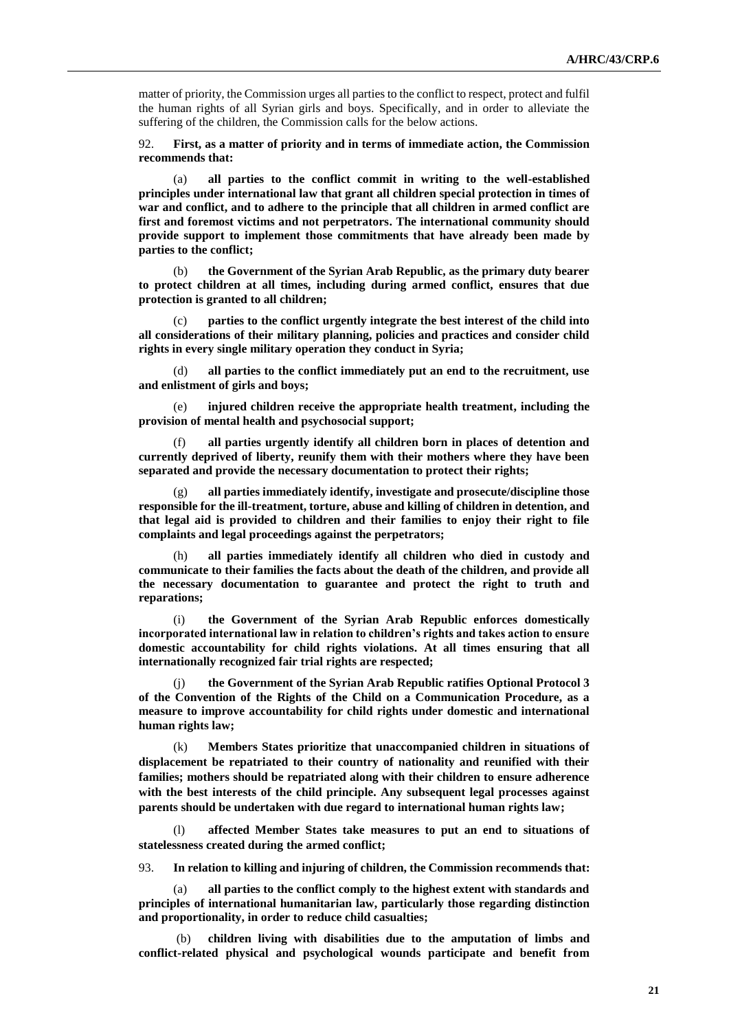matter of priority, the Commission urges all parties to the conflict to respect, protect and fulfil the human rights of all Syrian girls and boys. Specifically, and in order to alleviate the suffering of the children, the Commission calls for the below actions.

92. **First, as a matter of priority and in terms of immediate action, the Commission recommends that:**

(a) **all parties to the conflict commit in writing to the well-established principles under international law that grant all children special protection in times of war and conflict, and to adhere to the principle that all children in armed conflict are first and foremost victims and not perpetrators. The international community should provide support to implement those commitments that have already been made by parties to the conflict;**

(b) **the Government of the Syrian Arab Republic, as the primary duty bearer to protect children at all times, including during armed conflict, ensures that due protection is granted to all children;**

(c) **parties to the conflict urgently integrate the best interest of the child into all considerations of their military planning, policies and practices and consider child rights in every single military operation they conduct in Syria;**

(d) **all parties to the conflict immediately put an end to the recruitment, use and enlistment of girls and boys;**

(e) **injured children receive the appropriate health treatment, including the provision of mental health and psychosocial support;**

(f) **all parties urgently identify all children born in places of detention and currently deprived of liberty, reunify them with their mothers where they have been separated and provide the necessary documentation to protect their rights;**

(g) **all parties immediately identify, investigate and prosecute/discipline those responsible for the ill-treatment, torture, abuse and killing of children in detention, and that legal aid is provided to children and their families to enjoy their right to file complaints and legal proceedings against the perpetrators;**

(h) **all parties immediately identify all children who died in custody and communicate to their families the facts about the death of the children, and provide all the necessary documentation to guarantee and protect the right to truth and reparations;**

(i) **the Government of the Syrian Arab Republic enforces domestically incorporated international law in relation to children's rights and takes action to ensure domestic accountability for child rights violations. At all times ensuring that all internationally recognized fair trial rights are respected;**

the Government of the Syrian Arab Republic ratifies Optional Protocol 3 **of the Convention of the Rights of the Child on a Communication Procedure, as a measure to improve accountability for child rights under domestic and international human rights law;**

(k) **Members States prioritize that unaccompanied children in situations of displacement be repatriated to their country of nationality and reunified with their families; mothers should be repatriated along with their children to ensure adherence with the best interests of the child principle. Any subsequent legal processes against parents should be undertaken with due regard to international human rights law;**

(l) **affected Member States take measures to put an end to situations of statelessness created during the armed conflict;** 

93. **In relation to killing and injuring of children, the Commission recommends that:**

(a) **all parties to the conflict comply to the highest extent with standards and principles of international humanitarian law, particularly those regarding distinction and proportionality, in order to reduce child casualties;**

(b) **children living with disabilities due to the amputation of limbs and conflict-related physical and psychological wounds participate and benefit from**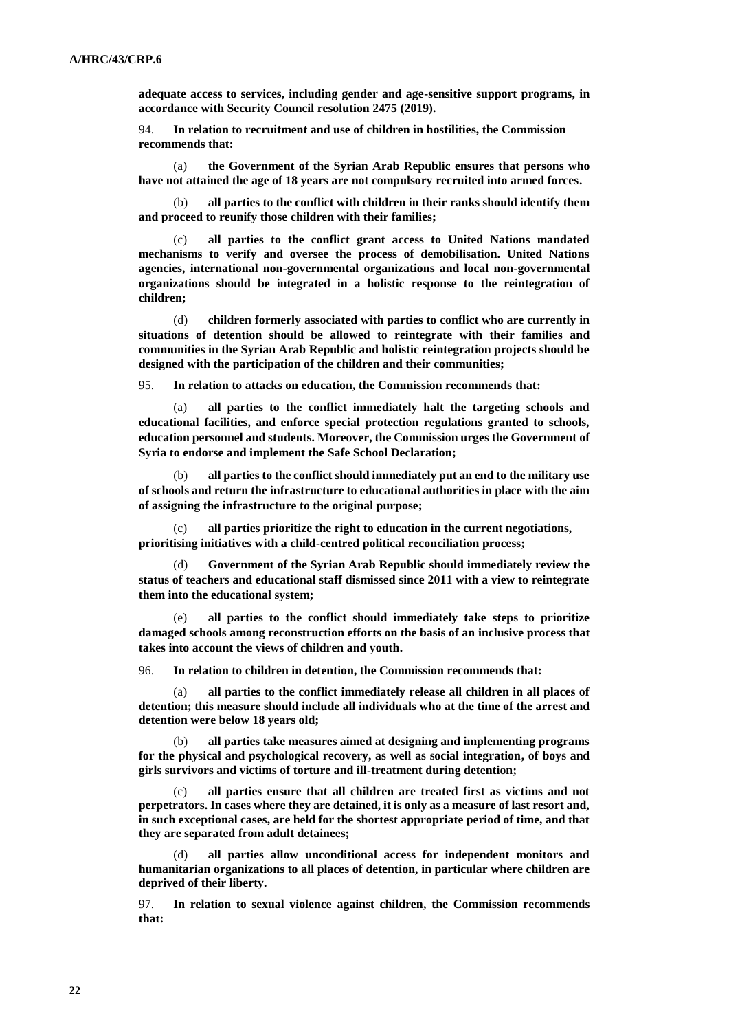**adequate access to services, including gender and age-sensitive support programs, in accordance with Security Council resolution 2475 (2019).**

94. **In relation to recruitment and use of children in hostilities, the Commission recommends that:**

(a) **the Government of the Syrian Arab Republic ensures that persons who have not attained the age of 18 years are not compulsory recruited into armed forces.**

(b) **all parties to the conflict with children in their ranks should identify them and proceed to reunify those children with their families;**

(c) **all parties to the conflict grant access to United Nations mandated mechanisms to verify and oversee the process of demobilisation. United Nations agencies, international non-governmental organizations and local non-governmental organizations should be integrated in a holistic response to the reintegration of children;**

(d) **children formerly associated with parties to conflict who are currently in situations of detention should be allowed to reintegrate with their families and communities in the Syrian Arab Republic and holistic reintegration projects should be designed with the participation of the children and their communities;**

95. **In relation to attacks on education, the Commission recommends that:** 

(a) **all parties to the conflict immediately halt the targeting schools and educational facilities, and enforce special protection regulations granted to schools, education personnel and students. Moreover, the Commission urges the Government of Syria to endorse and implement the Safe School Declaration;**

(b) **all parties to the conflict should immediately put an end to the military use of schools and return the infrastructure to educational authorities in place with the aim of assigning the infrastructure to the original purpose;**

(c) **all parties prioritize the right to education in the current negotiations, prioritising initiatives with a child-centred political reconciliation process;**

(d) **Government of the Syrian Arab Republic should immediately review the status of teachers and educational staff dismissed since 2011 with a view to reintegrate them into the educational system;**

(e) **all parties to the conflict should immediately take steps to prioritize damaged schools among reconstruction efforts on the basis of an inclusive process that takes into account the views of children and youth.**

96. **In relation to children in detention, the Commission recommends that:**

(a) **all parties to the conflict immediately release all children in all places of detention; this measure should include all individuals who at the time of the arrest and detention were below 18 years old;** 

(b) **all parties take measures aimed at designing and implementing programs for the physical and psychological recovery, as well as social integration, of boys and girls survivors and victims of torture and ill-treatment during detention;**

(c) **all parties ensure that all children are treated first as victims and not perpetrators. In cases where they are detained, it is only as a measure of last resort and, in such exceptional cases, are held for the shortest appropriate period of time, and that they are separated from adult detainees;**

(d) **all parties allow unconditional access for independent monitors and humanitarian organizations to all places of detention, in particular where children are deprived of their liberty.**

97. **In relation to sexual violence against children, the Commission recommends that:**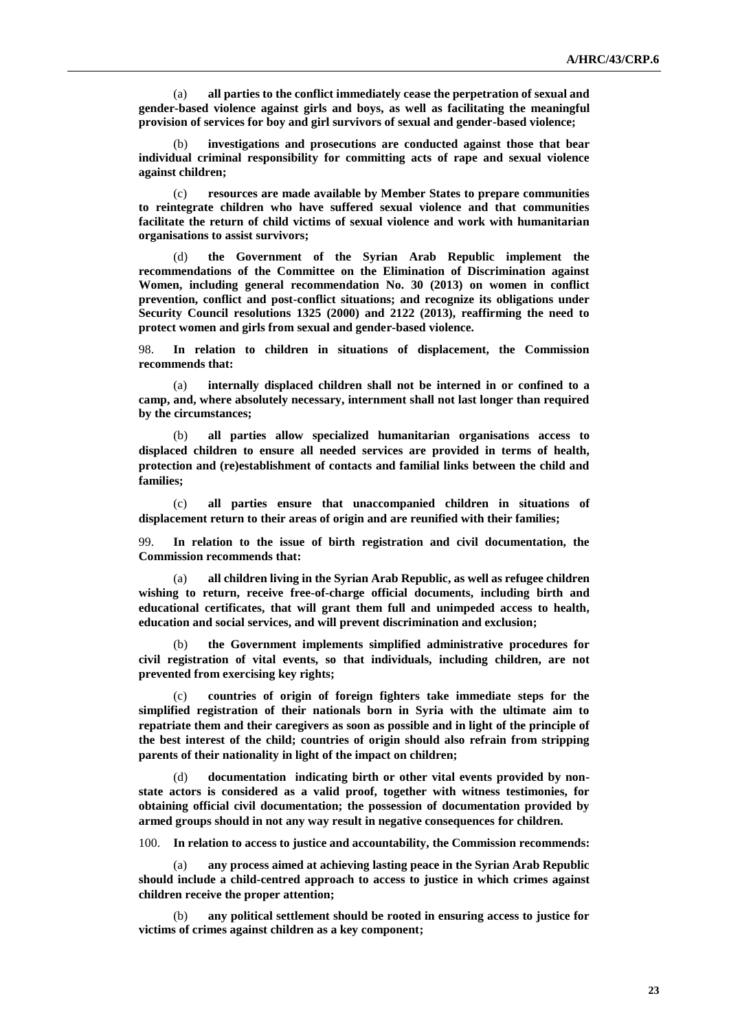(a) **all parties to the conflict immediately cease the perpetration of sexual and gender-based violence against girls and boys, as well as facilitating the meaningful provision of services for boy and girl survivors of sexual and gender-based violence;**

investigations and prosecutions are conducted against those that bear **individual criminal responsibility for committing acts of rape and sexual violence against children;**

(c) **resources are made available by Member States to prepare communities to reintegrate children who have suffered sexual violence and that communities facilitate the return of child victims of sexual violence and work with humanitarian organisations to assist survivors;**

(d) **the Government of the Syrian Arab Republic implement the recommendations of the Committee on the Elimination of Discrimination against Women, including general recommendation No. 30 (2013) on women in conflict prevention, conflict and post-conflict situations; and recognize its obligations under Security Council resolutions 1325 (2000) and 2122 (2013), reaffirming the need to protect women and girls from sexual and gender-based violence.**

98. **In relation to children in situations of displacement, the Commission recommends that:**

(a) **internally displaced children shall not be interned in or confined to a camp, and, where absolutely necessary, internment shall not last longer than required by the circumstances;**

(b) **all parties allow specialized humanitarian organisations access to displaced children to ensure all needed services are provided in terms of health, protection and (re)establishment of contacts and familial links between the child and families;**

(c) **all parties ensure that unaccompanied children in situations of displacement return to their areas of origin and are reunified with their families;**

99. **In relation to the issue of birth registration and civil documentation, the Commission recommends that:**

(a) **all children living in the Syrian Arab Republic, as well as refugee children wishing to return, receive free-of-charge official documents, including birth and educational certificates, that will grant them full and unimpeded access to health, education and social services, and will prevent discrimination and exclusion;**

(b) **the Government implements simplified administrative procedures for civil registration of vital events, so that individuals, including children, are not prevented from exercising key rights;**

(c) **countries of origin of foreign fighters take immediate steps for the simplified registration of their nationals born in Syria with the ultimate aim to repatriate them and their caregivers as soon as possible and in light of the principle of the best interest of the child; countries of origin should also refrain from stripping parents of their nationality in light of the impact on children;**

(d) **documentation indicating birth or other vital events provided by nonstate actors is considered as a valid proof, together with witness testimonies, for obtaining official civil documentation; the possession of documentation provided by armed groups should in not any way result in negative consequences for children.**

100. **In relation to access to justice and accountability, the Commission recommends:**

any process aimed at achieving lasting peace in the Syrian Arab Republic **should include a child-centred approach to access to justice in which crimes against children receive the proper attention;** 

(b) **any political settlement should be rooted in ensuring access to justice for victims of crimes against children as a key component;**